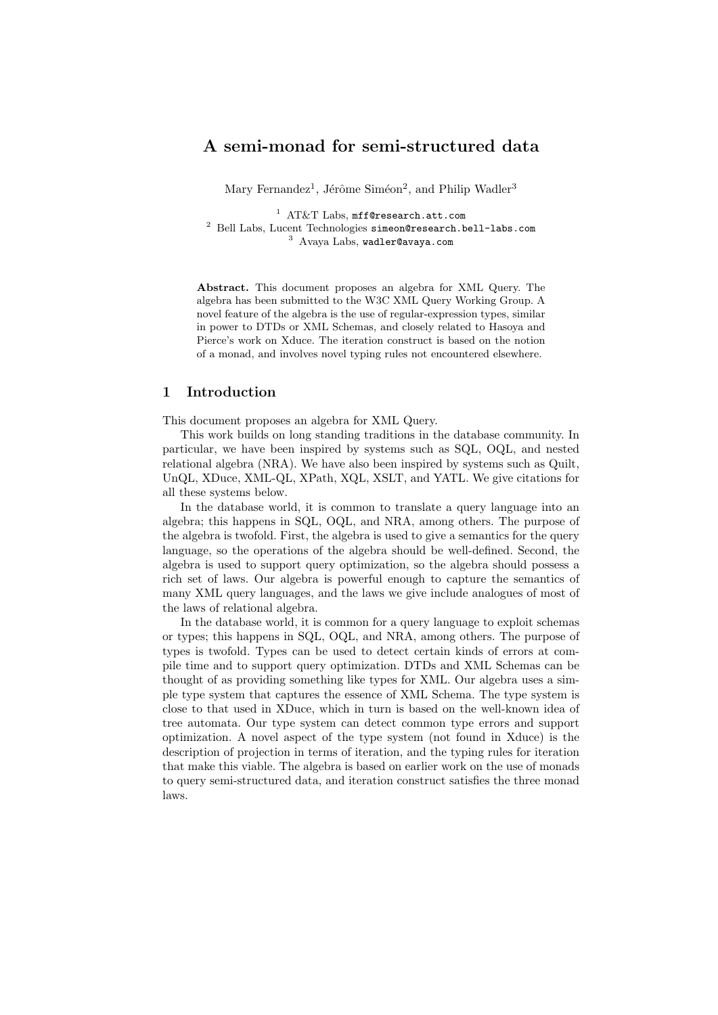# A semi-monad for semi-structured data

Mary Fernandez<sup>1</sup>, Jérôme Siméon<sup>2</sup>, and Philip Wadler<sup>3</sup>

 $1$  AT&T Labs, mff@research.att.com <sup>2</sup> Bell Labs, Lucent Technologies simeon@research.bell-labs.com <sup>3</sup> Avaya Labs, wadler@avaya.com

Abstract. This document proposes an algebra for XML Query. The algebra has been submitted to the W3C XML Query Working Group. A novel feature of the algebra is the use of regular-expression types, similar in power to DTDs or XML Schemas, and closely related to Hasoya and Pierce's work on Xduce. The iteration construct is based on the notion of a monad, and involves novel typing rules not encountered elsewhere.

## 1 Introduction

This document proposes an algebra for XML Query.

This work builds on long standing traditions in the database community. In particular, we have been inspired by systems such as SQL, OQL, and nested relational algebra (NRA). We have also been inspired by systems such as Quilt, UnQL, XDuce, XML-QL, XPath, XQL, XSLT, and YATL. We give citations for all these systems below.

In the database world, it is common to translate a query language into an algebra; this happens in SQL, OQL, and NRA, among others. The purpose of the algebra is twofold. First, the algebra is used to give a semantics for the query language, so the operations of the algebra should be well-defined. Second, the algebra is used to support query optimization, so the algebra should possess a rich set of laws. Our algebra is powerful enough to capture the semantics of many XML query languages, and the laws we give include analogues of most of the laws of relational algebra.

In the database world, it is common for a query language to exploit schemas or types; this happens in SQL, OQL, and NRA, among others. The purpose of types is twofold. Types can be used to detect certain kinds of errors at compile time and to support query optimization. DTDs and XML Schemas can be thought of as providing something like types for XML. Our algebra uses a simple type system that captures the essence of XML Schema. The type system is close to that used in XDuce, which in turn is based on the well-known idea of tree automata. Our type system can detect common type errors and support optimization. A novel aspect of the type system (not found in Xduce) is the description of projection in terms of iteration, and the typing rules for iteration that make this viable. The algebra is based on earlier work on the use of monads to query semi-structured data, and iteration construct satisfies the three monad laws.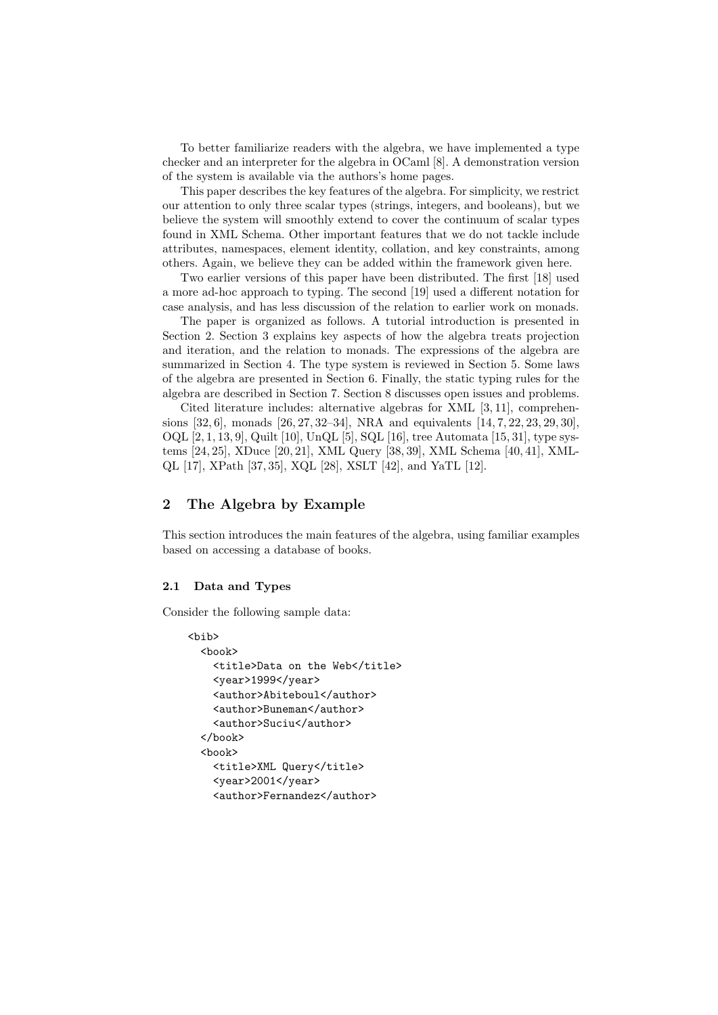To better familiarize readers with the algebra, we have implemented a type checker and an interpreter for the algebra in OCaml [8]. A demonstration version of the system is available via the authors's home pages.

This paper describes the key features of the algebra. For simplicity, we restrict our attention to only three scalar types (strings, integers, and booleans), but we believe the system will smoothly extend to cover the continuum of scalar types found in XML Schema. Other important features that we do not tackle include attributes, namespaces, element identity, collation, and key constraints, among others. Again, we believe they can be added within the framework given here.

Two earlier versions of this paper have been distributed. The first [18] used a more ad-hoc approach to typing. The second [19] used a different notation for case analysis, and has less discussion of the relation to earlier work on monads.

The paper is organized as follows. A tutorial introduction is presented in Section 2. Section 3 explains key aspects of how the algebra treats projection and iteration, and the relation to monads. The expressions of the algebra are summarized in Section 4. The type system is reviewed in Section 5. Some laws of the algebra are presented in Section 6. Finally, the static typing rules for the algebra are described in Section 7. Section 8 discusses open issues and problems.

Cited literature includes: alternative algebras for XML [3, 11], comprehensions [32, 6], monads [26, 27, 32–34], NRA and equivalents [14, 7, 22, 23, 29, 30], OQL [2, 1, 13, 9], Quilt [10], UnQL [5], SQL [16], tree Automata [15, 31], type systems [24, 25], XDuce [20, 21], XML Query [38, 39], XML Schema [40, 41], XML-QL [17], XPath [37, 35], XQL [28], XSLT [42], and YaTL [12].

# 2 The Algebra by Example

This section introduces the main features of the algebra, using familiar examples based on accessing a database of books.

#### 2.1 Data and Types

Consider the following sample data:

```
<bib>
  <hook><title>Data on the Web</title>
    <year>1999</year>
    <author>Abiteboul</author>
    <author>Buneman</author>
    <author>Suciu</author>
  </book>
  <hook><title>XML Query</title>
    <year>2001</year>
    <author>Fernandez</author>
```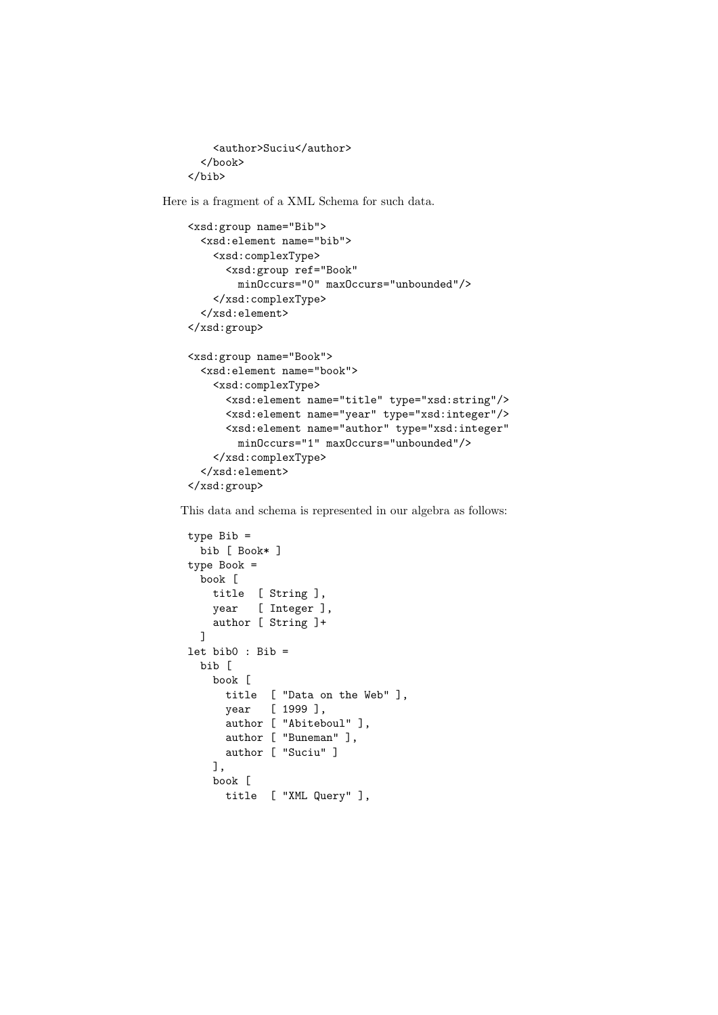```
<author>Suciu</author>
      </book>
    </bib>
Here is a fragment of a XML Schema for such data.
    <xsd:group name="Bib">
      <xsd:element name="bib">
        <xsd:complexType>
          <xsd:group ref="Book"
            minOccurs="0" maxOccurs="unbounded"/>
        </xsd:complexType>
      </xsd:element>
    </xsd:group>
    <xsd:group name="Book">
      <xsd:element name="book">
        <xsd:complexType>
          <xsd:element name="title" type="xsd:string"/>
          <xsd:element name="year" type="xsd:integer"/>
          <xsd:element name="author" type="xsd:integer"
            minOccurs="1" maxOccurs="unbounded"/>
        </xsd:complexType>
      </xsd:element>
    </xsd:group>
```
This data and schema is represented in our algebra as follows:

```
type Bib =
 bib [ Book* ]
type Book =
 book [
   title [ String ],
   year [ Integer ],
    author [ String ]+
  ]
let bib0 : Bib =
 bib [
   book [
     title [ "Data on the Web" ],
     year [ 1999 ],
     author [ "Abiteboul" ],
     author [ "Buneman" ],
     author [ "Suciu" ]
   ],
   book [
      title [ "XML Query" ],
```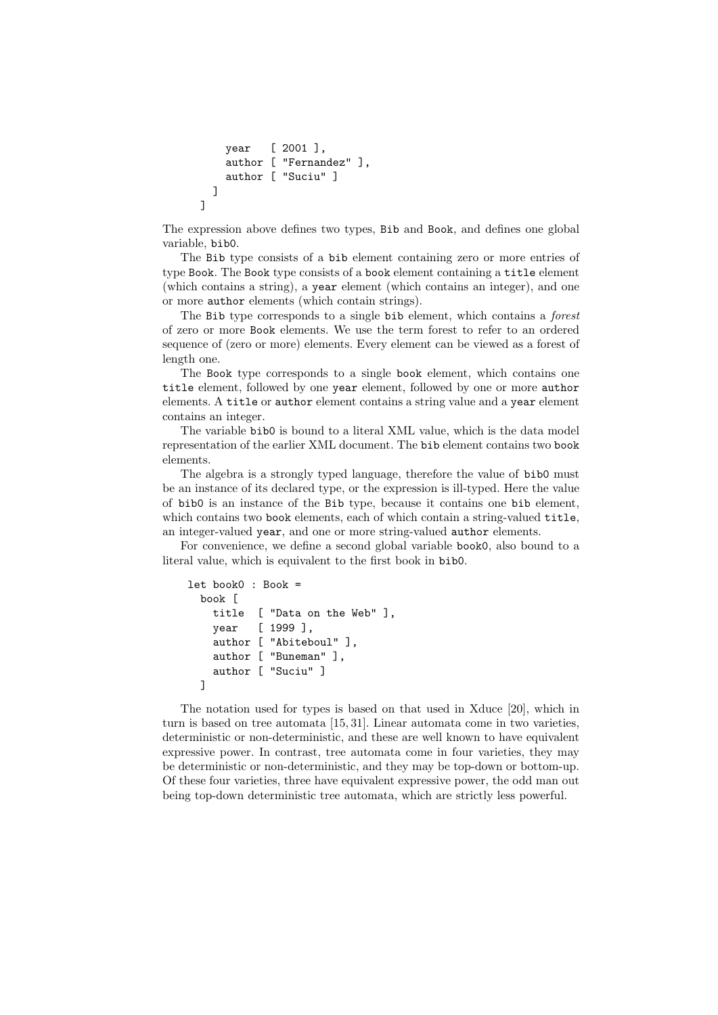```
year [ 2001 ],
  author [ "Fernandez" ],
  author [ "Suciu" ]
]
```
]

The expression above defines two types, Bib and Book, and defines one global variable, bib0.

The Bib type consists of a bib element containing zero or more entries of type Book. The Book type consists of a book element containing a title element (which contains a string), a year element (which contains an integer), and one or more author elements (which contain strings).

The Bib type corresponds to a single bib element, which contains a forest of zero or more Book elements. We use the term forest to refer to an ordered sequence of (zero or more) elements. Every element can be viewed as a forest of length one.

The Book type corresponds to a single book element, which contains one title element, followed by one year element, followed by one or more author elements. A title or author element contains a string value and a year element contains an integer.

The variable bib0 is bound to a literal XML value, which is the data model representation of the earlier XML document. The bib element contains two book elements.

The algebra is a strongly typed language, therefore the value of bib0 must be an instance of its declared type, or the expression is ill-typed. Here the value of bib0 is an instance of the Bib type, because it contains one bib element, which contains two book elements, each of which contain a string-valued title, an integer-valued year, and one or more string-valued author elements.

For convenience, we define a second global variable book0, also bound to a literal value, which is equivalent to the first book in bib0.

```
let book0 : Book =
  book [
    title [ "Data on the Web" ],
    year [ 1999 ],
    author [ "Abiteboul" ],
    author [ "Buneman" ],
    author [ "Suciu" ]
  ]
```
The notation used for types is based on that used in Xduce [20], which in turn is based on tree automata [15, 31]. Linear automata come in two varieties, deterministic or non-deterministic, and these are well known to have equivalent expressive power. In contrast, tree automata come in four varieties, they may be deterministic or non-deterministic, and they may be top-down or bottom-up. Of these four varieties, three have equivalent expressive power, the odd man out being top-down deterministic tree automata, which are strictly less powerful.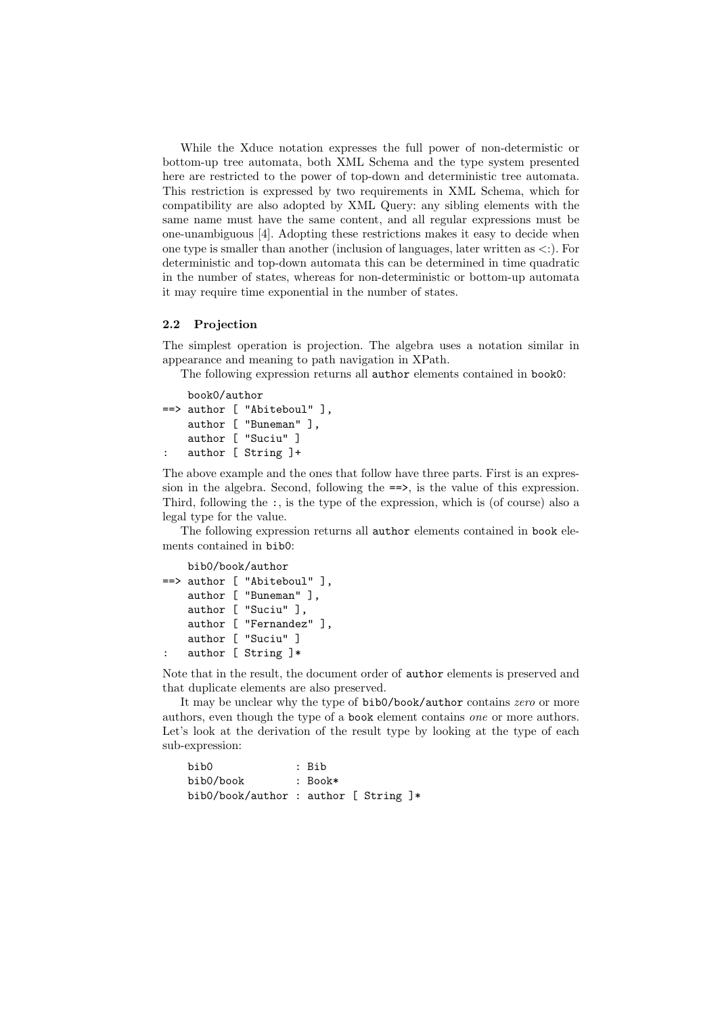While the Xduce notation expresses the full power of non-determistic or bottom-up tree automata, both XML Schema and the type system presented here are restricted to the power of top-down and deterministic tree automata. This restriction is expressed by two requirements in XML Schema, which for compatibility are also adopted by XML Query: any sibling elements with the same name must have the same content, and all regular expressions must be one-unambiguous [4]. Adopting these restrictions makes it easy to decide when one type is smaller than another (inclusion of languages, later written as  $\lt$ :). For deterministic and top-down automata this can be determined in time quadratic in the number of states, whereas for non-deterministic or bottom-up automata it may require time exponential in the number of states.

### 2.2 Projection

The simplest operation is projection. The algebra uses a notation similar in appearance and meaning to path navigation in XPath.

The following expression returns all author elements contained in book0:

```
book0/author
==> author [ "Abiteboul" ],
   author [ "Buneman" ],
   author [ "Suciu" ]
   author [ String ]+
```
The above example and the ones that follow have three parts. First is an expression in the algebra. Second, following the  $\equiv$ >, is the value of this expression. Third, following the :, is the type of the expression, which is (of course) also a legal type for the value.

The following expression returns all author elements contained in book elements contained in bib0:

```
bib0/book/author
==> author [ "Abiteboul" ],
   author [ "Buneman" ],
   author [ "Suciu" ],
   author [ "Fernandez" ],
   author [ "Suciu" ]
   author [ String ]*
```
Note that in the result, the document order of author elements is preserved and that duplicate elements are also preserved.

It may be unclear why the type of bib0/book/author contains zero or more authors, even though the type of a book element contains one or more authors. Let's look at the derivation of the result type by looking at the type of each sub-expression:

```
bib0 : Bib
bib0/book : Book*
bib0/book/author : author [ String ]*
```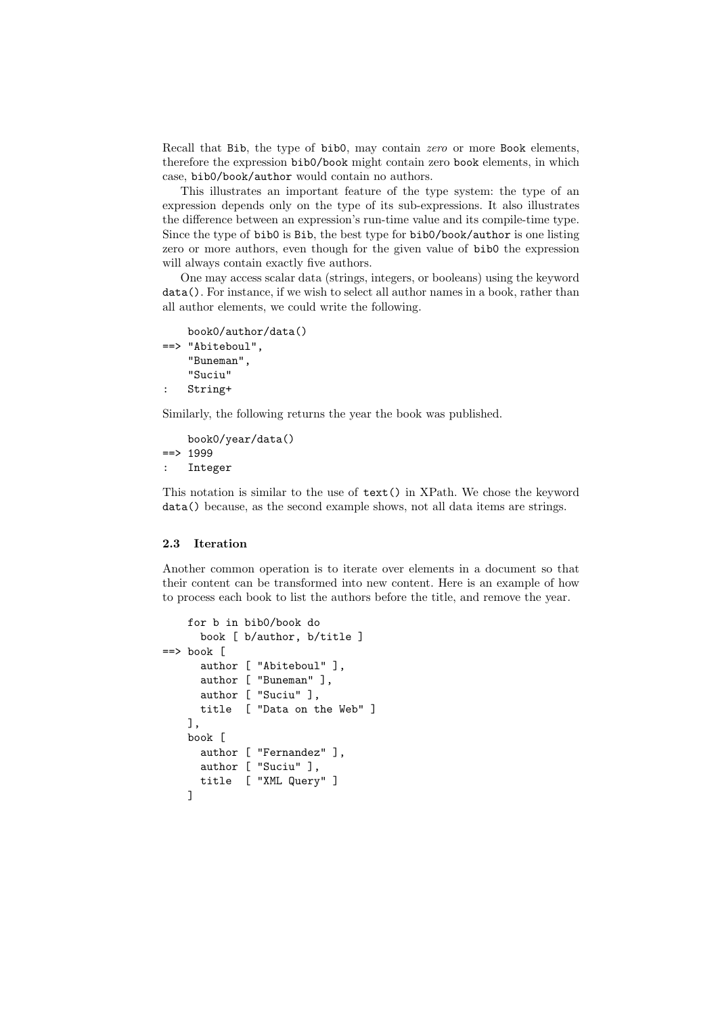Recall that Bib, the type of bib0, may contain *zero* or more Book elements, therefore the expression bib0/book might contain zero book elements, in which case, bib0/book/author would contain no authors.

This illustrates an important feature of the type system: the type of an expression depends only on the type of its sub-expressions. It also illustrates the difference between an expression's run-time value and its compile-time type. Since the type of bib0 is Bib, the best type for bib0/book/author is one listing zero or more authors, even though for the given value of bib0 the expression will always contain exactly five authors.

One may access scalar data (strings, integers, or booleans) using the keyword data(). For instance, if we wish to select all author names in a book, rather than all author elements, we could write the following.

```
book0/author/data()
==> "Abiteboul",
    "Buneman",
    "Suciu"
: String+
```
Similarly, the following returns the year the book was published.

```
book0/year/data()
==> 1999
: Integer
```
This notation is similar to the use of text() in XPath. We chose the keyword data() because, as the second example shows, not all data items are strings.

#### 2.3 Iteration

Another common operation is to iterate over elements in a document so that their content can be transformed into new content. Here is an example of how to process each book to list the authors before the title, and remove the year.

```
for b in bib0/book do
     book [ b/author, b/title ]
==> book [
     author [ "Abiteboul" ],
     author [ "Buneman" ],
     author [ "Suciu" ],
     title [ "Data on the Web" ]
   ],
   book [
      author [ "Fernandez" ],
     author [ "Suciu" ],
     title [ "XML Query" ]
   ]
```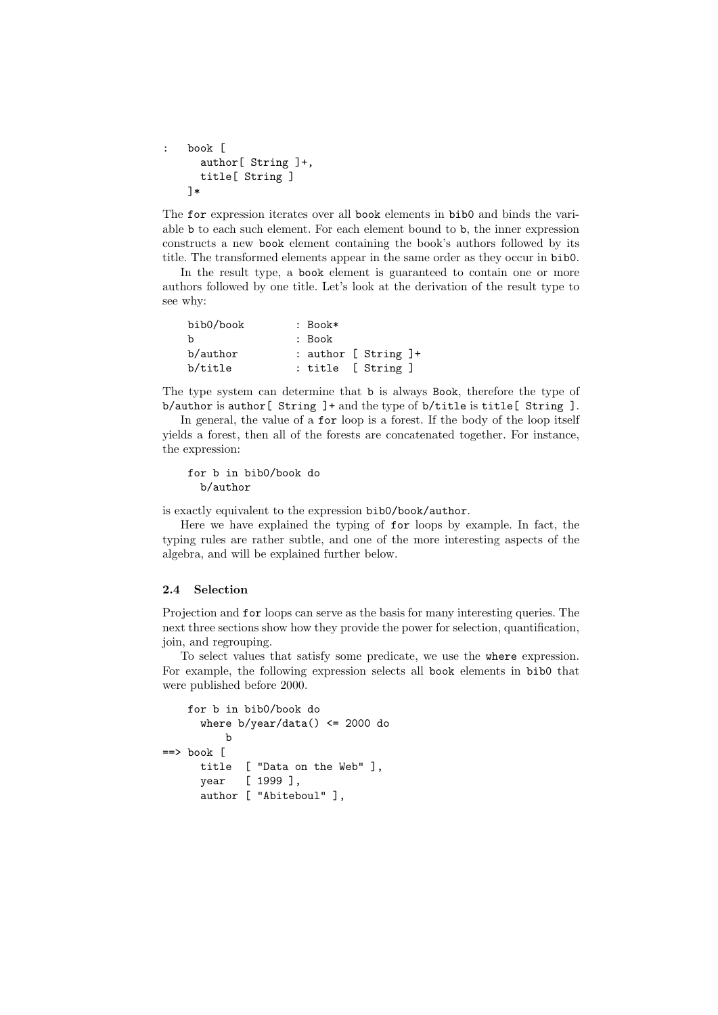```
: book [
     author[ String ]+,
     title[ String ]
   ]*
```
The for expression iterates over all book elements in bib0 and binds the variable b to each such element. For each element bound to b, the inner expression constructs a new book element containing the book's authors followed by its title. The transformed elements appear in the same order as they occur in bib0.

In the result type, a book element is guaranteed to contain one or more authors followed by one title. Let's look at the derivation of the result type to see why:

| bib0/book | $: Book*$            |
|-----------|----------------------|
| b         | : Book               |
| b/author  | : author [ String ]+ |
| b/title   | : title [ String ]   |

The type system can determine that b is always Book, therefore the type of  $b/$ author is author  $[$  String  $]$  + and the type of  $b/t$ itle is title  $[$  String  $]$ .

In general, the value of a for loop is a forest. If the body of the loop itself yields a forest, then all of the forests are concatenated together. For instance, the expression:

for b in bib0/book do b/author

is exactly equivalent to the expression bib0/book/author.

Here we have explained the typing of for loops by example. In fact, the typing rules are rather subtle, and one of the more interesting aspects of the algebra, and will be explained further below.

## 2.4 Selection

Projection and for loops can serve as the basis for many interesting queries. The next three sections show how they provide the power for selection, quantification, join, and regrouping.

To select values that satisfy some predicate, we use the where expression. For example, the following expression selects all book elements in bib0 that were published before 2000.

```
for b in bib0/book do
      where b/year/data() <= 2000 do
          b
\Rightarrow book \Gammatitle [ "Data on the Web" ],
      year [ 1999 ],
      author [ "Abiteboul" ],
```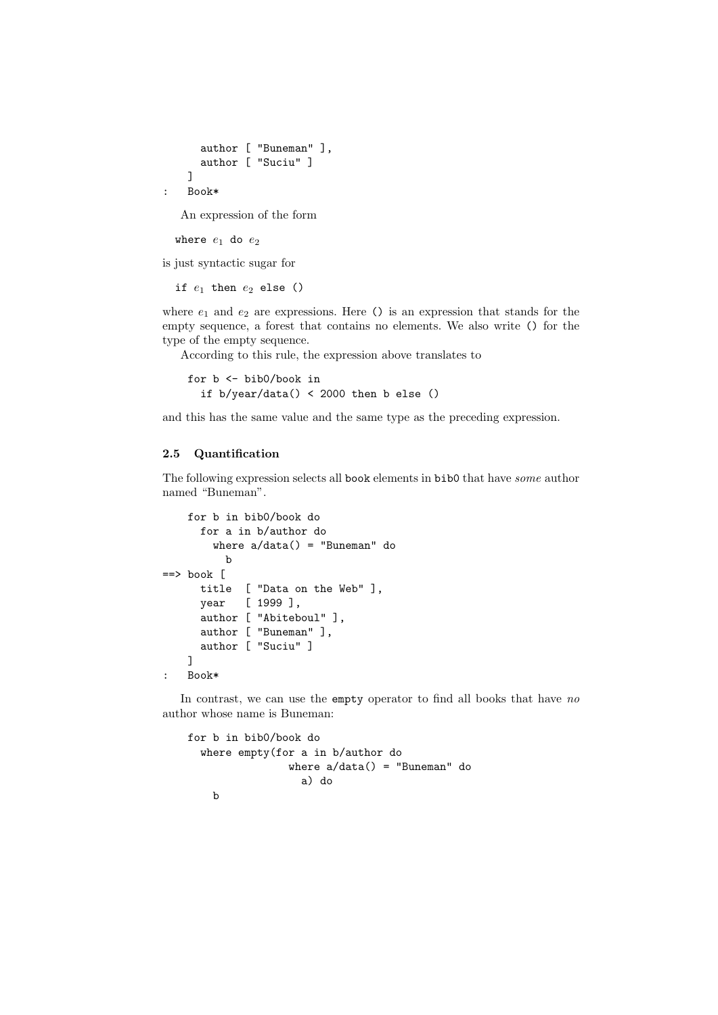```
author [ "Buneman" ],
     author [ "Suciu" ]
   ]
: Book*
```
An expression of the form

```
where e_1 do e_2
```
is just syntactic sugar for

if  $e_1$  then  $e_2$  else ()

where  $e_1$  and  $e_2$  are expressions. Here () is an expression that stands for the empty sequence, a forest that contains no elements. We also write () for the type of the empty sequence.

According to this rule, the expression above translates to

```
for b <- bib0/book in
  if b/year/data() < 2000 then b else ()
```
and this has the same value and the same type as the preceding expression.

# 2.5 Quantification

The following expression selects all book elements in bib0 that have some author named "Buneman".

```
for b in bib0/book do
     for a in b/author do
        where a/data() = "Buneman" do
          b
==> book [
     title [ "Data on the Web" ],
     year [ 1999 ],
     author [ "Abiteboul" ],
     author [ "Buneman" ],
     author [ "Suciu" ]
   ]
: Book*
```
In contrast, we can use the empty operator to find all books that have no author whose name is Buneman:

```
for b in bib0/book do
  where empty(for a in b/author do
               where a/data() = "Buneman" doa) do
    b
```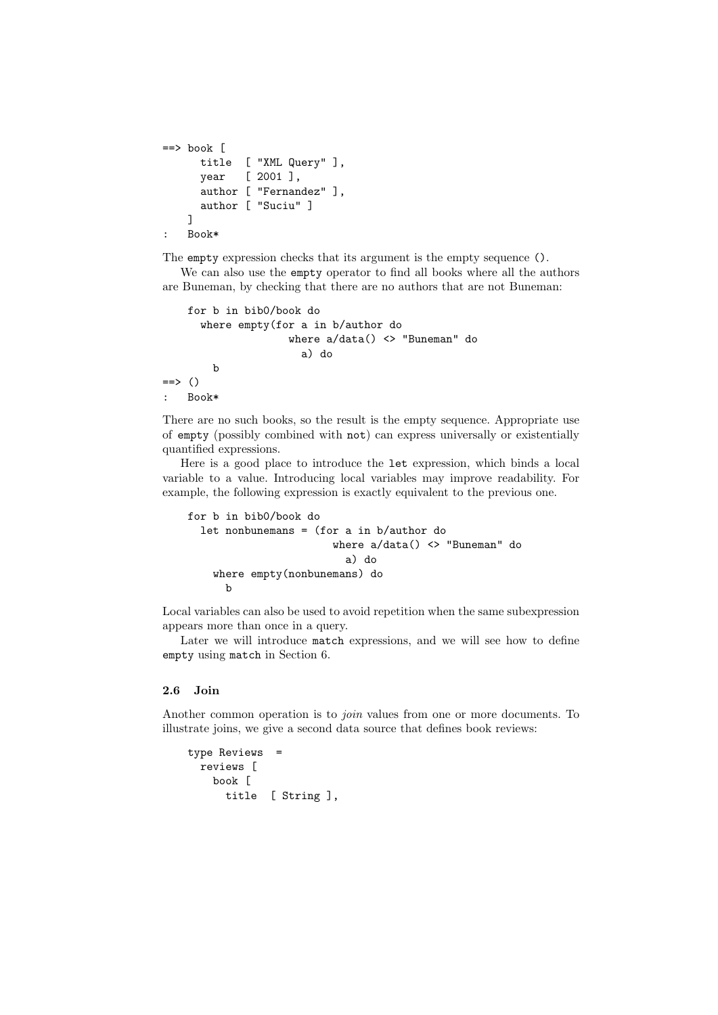```
\Rightarrow book [
      title [ "XML Query" ],
      year [ 2001 ],
      author [ "Fernandez" ],
      author [ "Suciu" ]
    ]
: Book*
```
The empty expression checks that its argument is the empty sequence ().

We can also use the empty operator to find all books where all the authors are Buneman, by checking that there are no authors that are not Buneman:

```
for b in bib0/book do
      where empty(for a in b/author do
                       where a/data() <> "Buneman" do
                         a) do
         \mathbf{h}\Rightarrow ()
: Book*
```
There are no such books, so the result is the empty sequence. Appropriate use of empty (possibly combined with not) can express universally or existentially quantified expressions.

Here is a good place to introduce the let expression, which binds a local variable to a value. Introducing local variables may improve readability. For example, the following expression is exactly equivalent to the previous one.

```
for b in bib0/book do
  let nonbunemans = (for a in b/author do
                       where a/data() <> "Buneman" do
                         a) do
    where empty(nonbunemans) do
      b
```
Local variables can also be used to avoid repetition when the same subexpression appears more than once in a query.

Later we will introduce match expressions, and we will see how to define empty using match in Section 6.

### 2.6 Join

Another common operation is to join values from one or more documents. To illustrate joins, we give a second data source that defines book reviews:

```
type Reviews =
 reviews [
   book [
     title [ String ],
```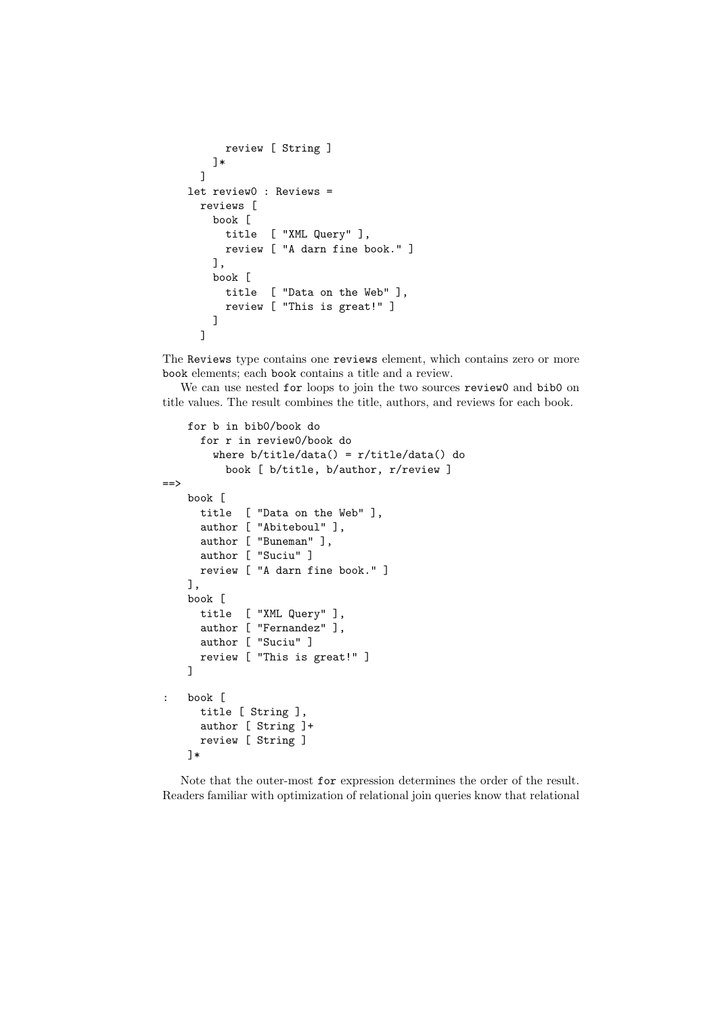```
review [ String ]
   ]*
 ]
let review0 : Reviews =
  reviews [
   book [
      title [ "XML Query" ],
      review [ "A darn fine book." ]
   ],
   book [
      title [ "Data on the Web" ],
      review [ "This is great!" ]
   ]
  ]
```
The Reviews type contains one reviews element, which contains zero or more book elements; each book contains a title and a review.

We can use nested for loops to join the two sources review0 and bib0 on title values. The result combines the title, authors, and reviews for each book.

```
for b in bib0/book do
     for r in review0/book do
        where b/title/data() = r/title/data() do
          book [ b/title, b/author, r/review ]
=book [
     title [ "Data on the Web" ],
     author [ "Abiteboul" ],
     author [ "Buneman" ],
     author [ "Suciu" ]
     review [ "A darn fine book." ]
   ],
   book [
     title [ "XML Query" ],
     author [ "Fernandez" ],
     author [ "Suciu" ]
     review [ "This is great!" ]
   ]
: book [
     title [ String ],
     author [ String ]+
     review [ String ]
   ]*
```
Note that the outer-most for expression determines the order of the result. Readers familiar with optimization of relational join queries know that relational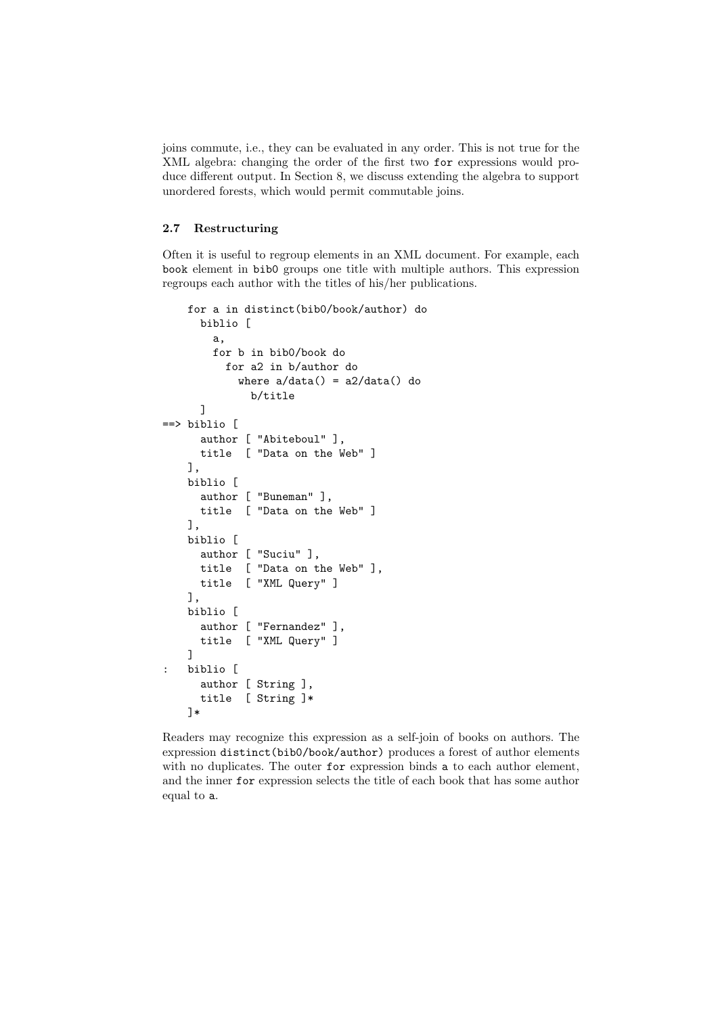joins commute, i.e., they can be evaluated in any order. This is not true for the XML algebra: changing the order of the first two for expressions would produce different output. In Section 8, we discuss extending the algebra to support unordered forests, which would permit commutable joins.

### 2.7 Restructuring

Often it is useful to regroup elements in an XML document. For example, each book element in bib0 groups one title with multiple authors. This expression regroups each author with the titles of his/her publications.

```
for a in distinct(bib0/book/author) do
      biblio [
        a,
        for b in bib0/book do
          for a2 in b/author do
            where a/data() = a2/data() do
              b/title
      ]
==> biblio [
      author [ "Abiteboul" ],
      title [ "Data on the Web" ]
   ],
   biblio [
      author [ "Buneman" ],
      title [ "Data on the Web" ]
   ],
   biblio [
      author [ "Suciu" ],
     title [ "Data on the Web" ],
      title [ "XML Query" ]
   ],
   biblio [
      author [ "Fernandez" ],
     title [ "XML Query" ]
   ]
: biblio [
      author [ String ],
      title [ String ]*
   ]*
```
Readers may recognize this expression as a self-join of books on authors. The expression distinct(bib0/book/author) produces a forest of author elements with no duplicates. The outer for expression binds a to each author element, and the inner for expression selects the title of each book that has some author equal to a.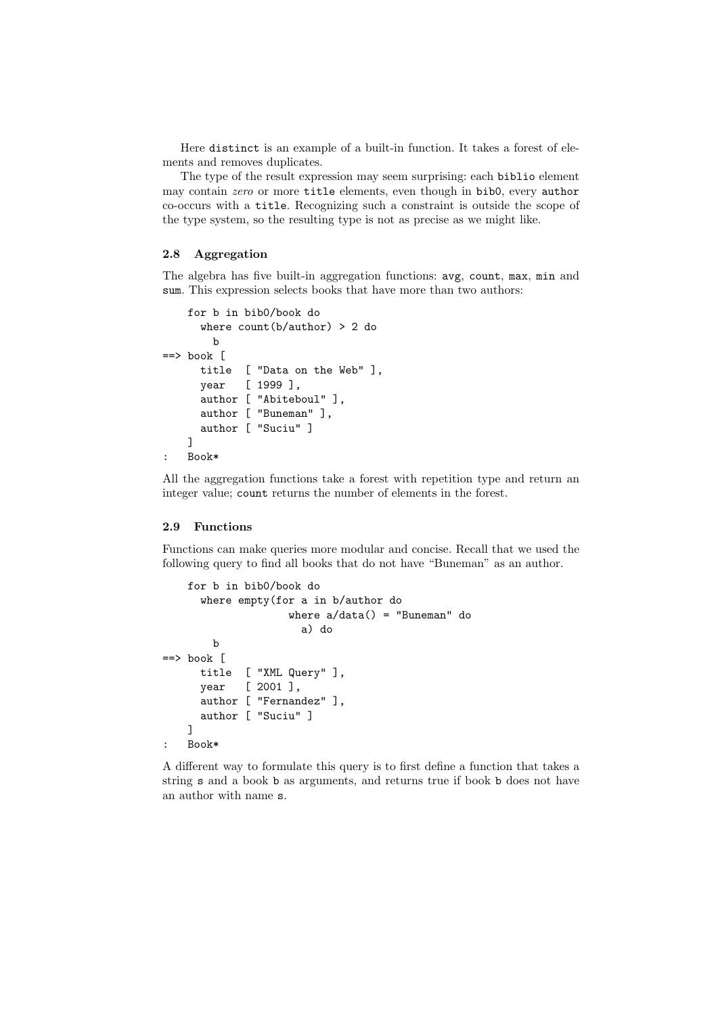Here distinct is an example of a built-in function. It takes a forest of elements and removes duplicates.

The type of the result expression may seem surprising: each biblio element may contain zero or more title elements, even though in bib0, every author co-occurs with a title. Recognizing such a constraint is outside the scope of the type system, so the resulting type is not as precise as we might like.

#### 2.8 Aggregation

The algebra has five built-in aggregation functions: avg, count, max, min and sum. This expression selects books that have more than two authors:

```
for b in bib0/book do
      where count(b/author) > 2 do
        b
\Rightarrow book \Gammatitle [ "Data on the Web" ],
      year [ 1999 ],
      author [ "Abiteboul" ],
      author [ "Buneman" ],
      author [ "Suciu" ]
    ]
: Book*
```
All the aggregation functions take a forest with repetition type and return an integer value; count returns the number of elements in the forest.

#### 2.9 Functions

Functions can make queries more modular and concise. Recall that we used the following query to find all books that do not have "Buneman" as an author.

```
for b in bib0/book do
      where empty(for a in b/author do
                     where a/data() = "Buneman" doa) do
        b
\Rightarrow book \Gammatitle [ "XML Query" ],
      year [ 2001 ],
      author [ "Fernandez" ],
      author [ "Suciu" ]
    ]
: Book*
```
A different way to formulate this query is to first define a function that takes a string s and a book b as arguments, and returns true if book b does not have an author with name s.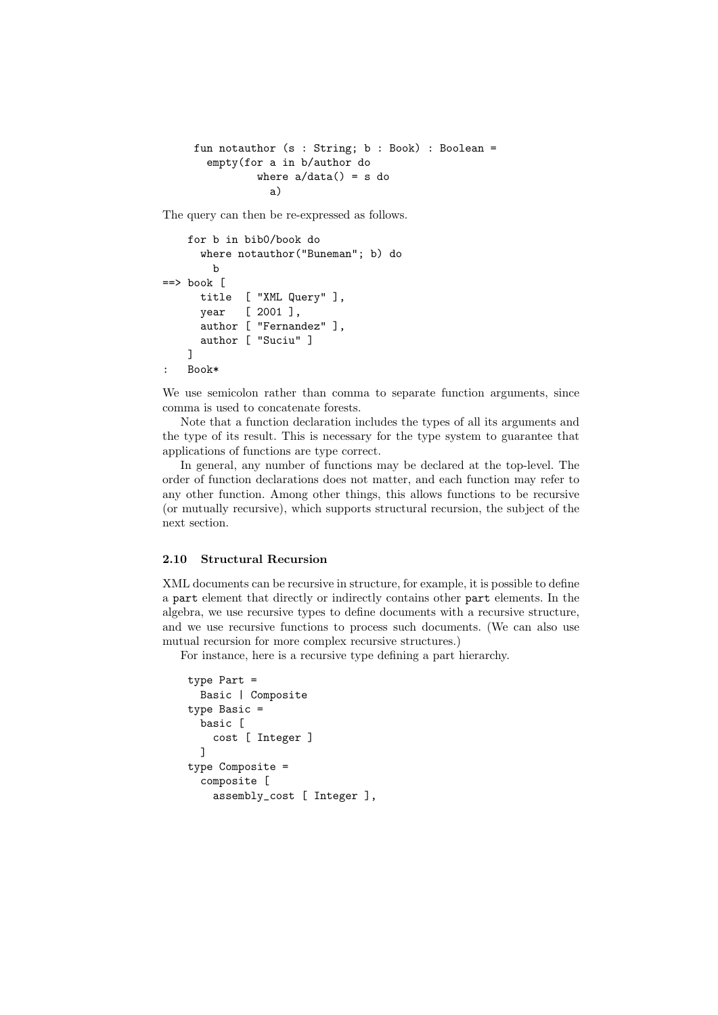```
fun notauthor (s : String; b : Book) : Boolean =
 empty(for a in b/author do
          where a/data() = s do
            a)
```
The query can then be re-expressed as follows.

```
for b in bib0/book do
      where notauthor("Buneman"; b) do
       b
==> book [
     title [ "XML Query" ],
     year [ 2001 ],
     author [ "Fernandez" ],
     author [ "Suciu" ]
   ]
: Book*
```
We use semicolon rather than comma to separate function arguments, since comma is used to concatenate forests.

Note that a function declaration includes the types of all its arguments and the type of its result. This is necessary for the type system to guarantee that applications of functions are type correct.

In general, any number of functions may be declared at the top-level. The order of function declarations does not matter, and each function may refer to any other function. Among other things, this allows functions to be recursive (or mutually recursive), which supports structural recursion, the subject of the next section.

# 2.10 Structural Recursion

XML documents can be recursive in structure, for example, it is possible to define a part element that directly or indirectly contains other part elements. In the algebra, we use recursive types to define documents with a recursive structure, and we use recursive functions to process such documents. (We can also use mutual recursion for more complex recursive structures.)

For instance, here is a recursive type defining a part hierarchy.

```
type Part =
  Basic | Composite
type Basic =
  basic [
    cost [ Integer ]
  ]
type Composite =
  composite [
    assembly_cost [ Integer ],
```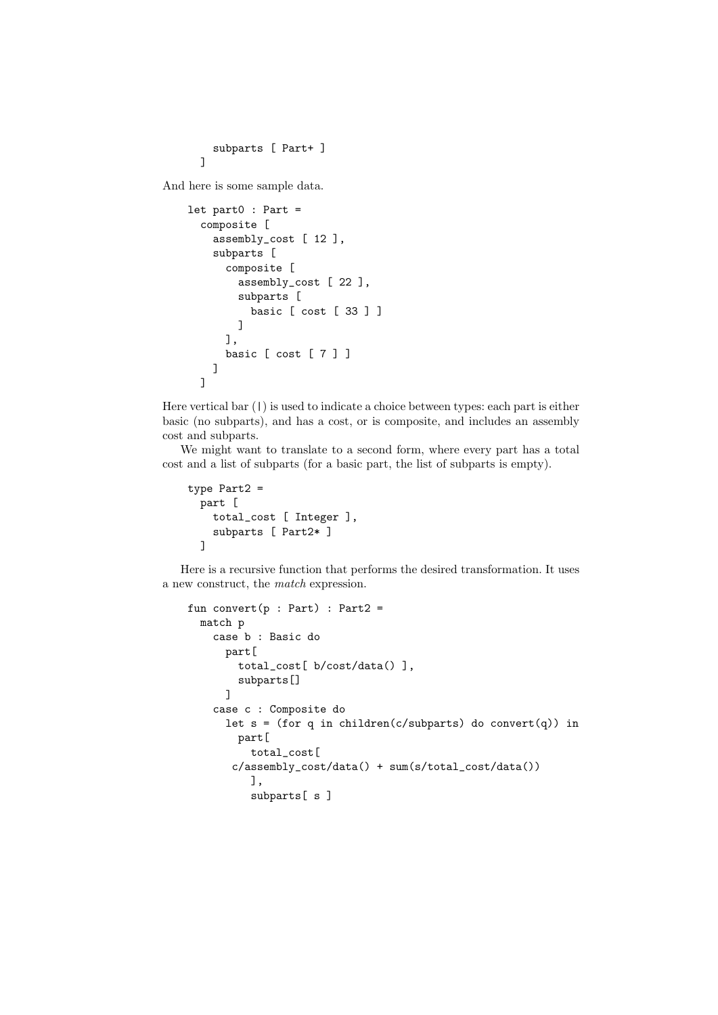subparts [ Part+ ] ]

And here is some sample data.

```
let part0 : Part =
  composite [
    assembly_cost [ 12 ],
    subparts [
      composite [
        assembly_cost [ 22 ],
        subparts [
          basic [ cost [ 33 ] ]
        ]
      ],
      basic [ cost [ 7 ] ]
    ]
  ]
```
Here vertical bar (|) is used to indicate a choice between types: each part is either basic (no subparts), and has a cost, or is composite, and includes an assembly cost and subparts.

We might want to translate to a second form, where every part has a total cost and a list of subparts (for a basic part, the list of subparts is empty).

```
type Part2 =
 part [
    total_cost [ Integer ],
    subparts [ Part2* ]
  ]
```
Here is a recursive function that performs the desired transformation. It uses a new construct, the match expression.

```
fun convert(p : Part) : Part2 =
  match p
   case b : Basic do
      part[
        total_cost[ b/cost/data() ],
        subparts[]
      ]
    case c : Composite do
      let s = (for q in children(c/subparts) do convert(q)) inpart[
          total_cost[
       c/assembly_cost/data() + sum(s/total_cost/data())
          ],
          subparts[ s ]
```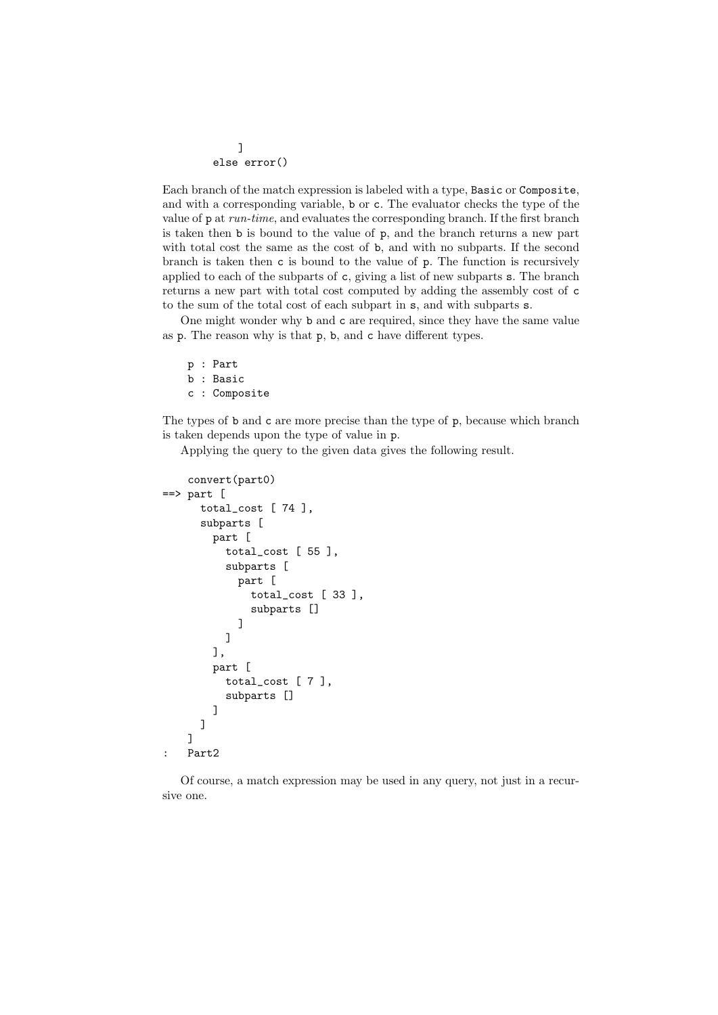] else error()

Each branch of the match expression is labeled with a type, Basic or Composite, and with a corresponding variable, b or c. The evaluator checks the type of the value of p at run-time, and evaluates the corresponding branch. If the first branch is taken then b is bound to the value of p, and the branch returns a new part with total cost the same as the cost of b, and with no subparts. If the second branch is taken then c is bound to the value of p. The function is recursively applied to each of the subparts of c, giving a list of new subparts s. The branch returns a new part with total cost computed by adding the assembly cost of c to the sum of the total cost of each subpart in s, and with subparts s.

One might wonder why b and c are required, since they have the same value as p. The reason why is that p, b, and c have different types.

```
p : Part
b : Basic
c : Composite
```
The types of b and c are more precise than the type of p, because which branch is taken depends upon the type of value in p.

Applying the query to the given data gives the following result.

```
convert(part0)
==> part [
      total_cost [ 74 ],
      subparts [
        part [
          total_cost [ 55 ],
          subparts [
            part [
              total_cost [ 33 ],
              subparts []
            ]
          ]
        ],
        part [
          total_cost [ 7 ],
          subparts []
        ]
      ]
    ]
: Part2
```
Of course, a match expression may be used in any query, not just in a recursive one.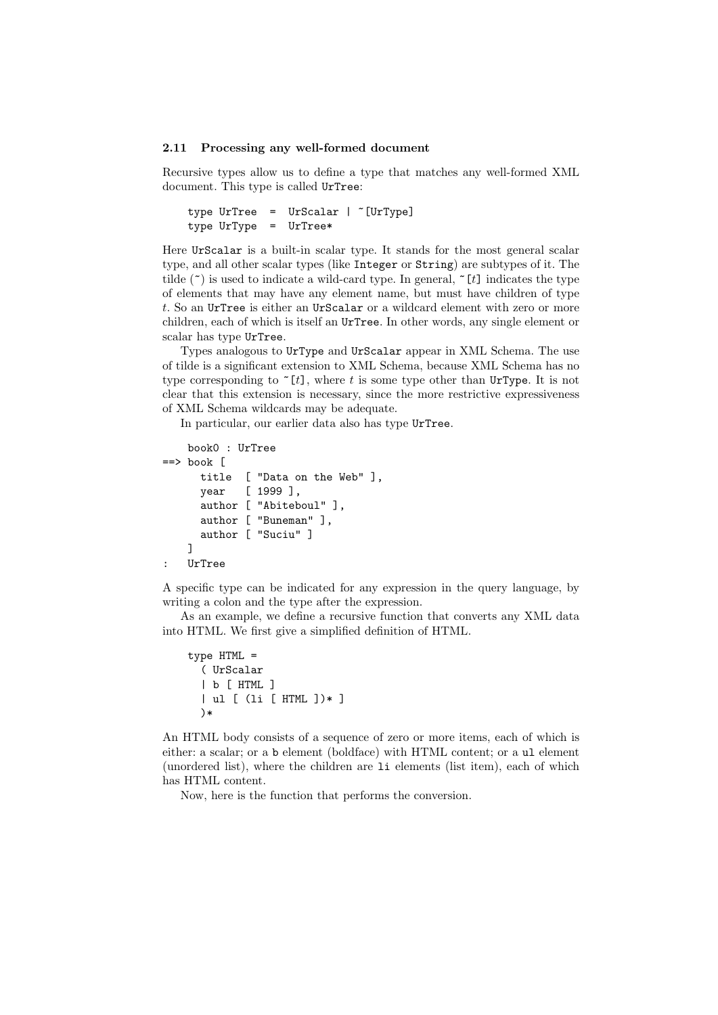#### 2.11 Processing any well-formed document

Recursive types allow us to define a type that matches any well-formed XML document. This type is called UrTree:

```
type UrTree = UrScalar | ~[UrType]
type UrType = UrTree*
```
Here UrScalar is a built-in scalar type. It stands for the most general scalar type, and all other scalar types (like Integer or String) are subtypes of it. The tilde  $(\tilde{\ })$  is used to indicate a wild-card type. In general,  $\tilde{\ }$  [t] indicates the type of elements that may have any element name, but must have children of type t. So an UrTree is either an UrScalar or a wildcard element with zero or more children, each of which is itself an UrTree. In other words, any single element or scalar has type UrTree.

Types analogous to UrType and UrScalar appear in XML Schema. The use of tilde is a significant extension to XML Schema, because XML Schema has no type corresponding to  $\tilde{t}$ . where t is some type other than UrType. It is not clear that this extension is necessary, since the more restrictive expressiveness of XML Schema wildcards may be adequate.

In particular, our earlier data also has type UrTree.

```
book0 : UrTree
== book [title [ "Data on the Web" ],
     year [ 1999 ],
     author [ "Abiteboul" ],
     author [ "Buneman" ],
     author [ "Suciu" ]
   ]
: UrTree
```
A specific type can be indicated for any expression in the query language, by writing a colon and the type after the expression.

As an example, we define a recursive function that converts any XML data into HTML. We first give a simplified definition of HTML.

```
type HTML =
  ( UrScalar
  | b [ HTML ]
  | ul [ (li [ HTML ])* ]
  )*
```
An HTML body consists of a sequence of zero or more items, each of which is either: a scalar; or a b element (boldface) with HTML content; or a ul element (unordered list), where the children are li elements (list item), each of which has HTML content.

Now, here is the function that performs the conversion.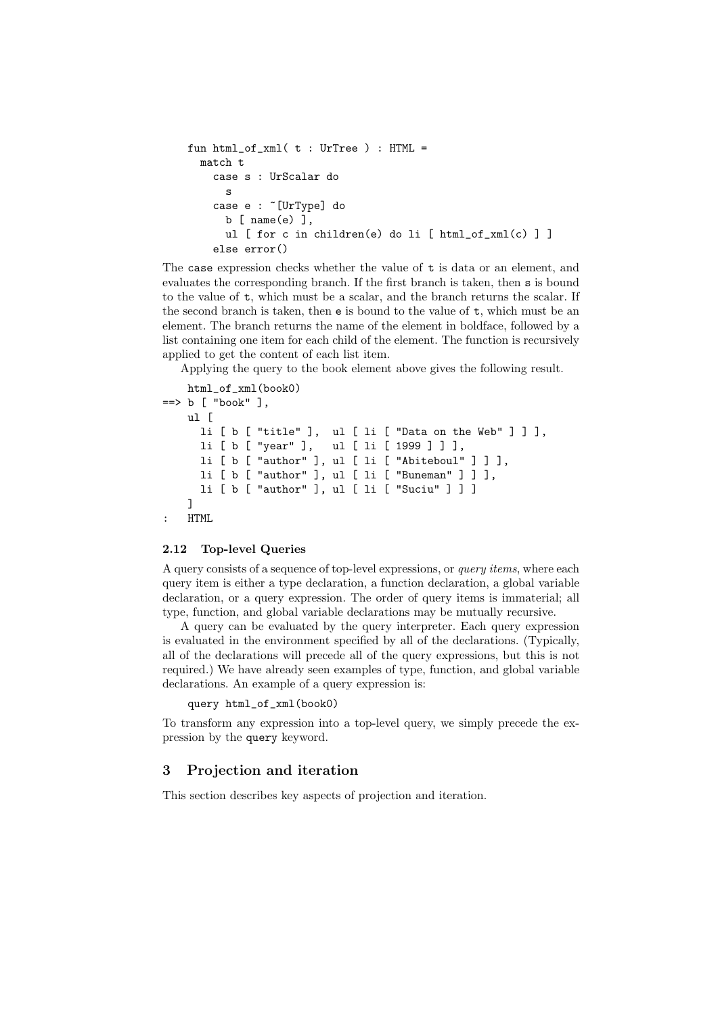```
fun html_of_xml( t : UrTree ) : HTML =
  match t
    case s : UrScalar do
      s
    case e : ~[UrType] do
      b \left[ \text{name}(e) \right],
      ul [ for c in children(e) do li [ html_of\_xml(c) ] ]
    else error()
```
The case expression checks whether the value of t is data or an element, and evaluates the corresponding branch. If the first branch is taken, then s is bound to the value of t, which must be a scalar, and the branch returns the scalar. If the second branch is taken, then  $e$  is bound to the value of  $t$ , which must be an element. The branch returns the name of the element in boldface, followed by a list containing one item for each child of the element. The function is recursively applied to get the content of each list item.

Applying the query to the book element above gives the following result.

```
html_of_xml(book0)
\Rightarrow b [ "book" ],
   u1 [
     li [ b [ "title" ], ul [ li [ "Data on the Web" ] ] ],
      li [ b [ "year" ], ul [ li [ 1999 ] ] ],
      li [ b [ "author" ], ul [ li [ "Abiteboul" ] ] ],
     li [ b [ "author" ], ul [ li [ "Buneman" ] ] ],
     li [ b [ "author" ], ul [ li [ "Suciu" ] ] ]
   ]
: HTML
```
### 2.12 Top-level Queries

A query consists of a sequence of top-level expressions, or query items, where each query item is either a type declaration, a function declaration, a global variable declaration, or a query expression. The order of query items is immaterial; all type, function, and global variable declarations may be mutually recursive.

A query can be evaluated by the query interpreter. Each query expression is evaluated in the environment specified by all of the declarations. (Typically, all of the declarations will precede all of the query expressions, but this is not required.) We have already seen examples of type, function, and global variable declarations. An example of a query expression is:

```
query html_of_xml(book0)
```
To transform any expression into a top-level query, we simply precede the expression by the query keyword.

# 3 Projection and iteration

This section describes key aspects of projection and iteration.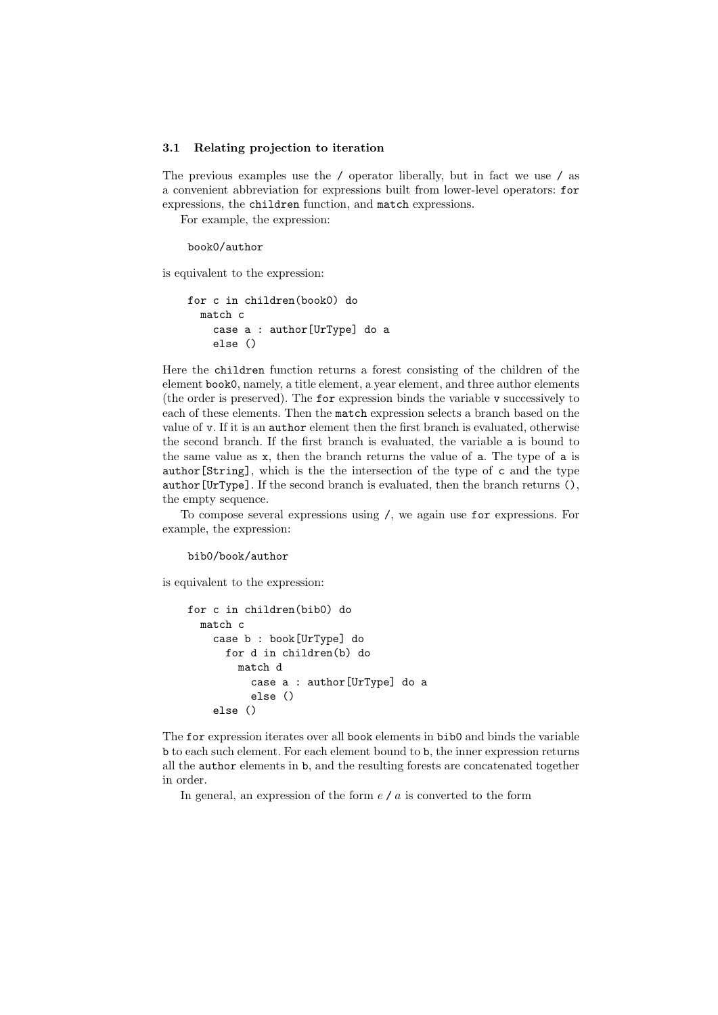#### 3.1 Relating projection to iteration

The previous examples use the / operator liberally, but in fact we use / as a convenient abbreviation for expressions built from lower-level operators: for expressions, the children function, and match expressions.

For example, the expression:

book0/author

is equivalent to the expression:

```
for c in children(book0) do
  match c
    case a : author[UrType] do a
    else ()
```
Here the children function returns a forest consisting of the children of the element book0, namely, a title element, a year element, and three author elements (the order is preserved). The for expression binds the variable v successively to each of these elements. Then the match expression selects a branch based on the value of v. If it is an author element then the first branch is evaluated, otherwise the second branch. If the first branch is evaluated, the variable a is bound to the same value as x, then the branch returns the value of a. The type of a is author[String], which is the the intersection of the type of c and the type author [UrType]. If the second branch is evaluated, then the branch returns (), the empty sequence.

To compose several expressions using /, we again use for expressions. For example, the expression:

#### bib0/book/author

is equivalent to the expression:

```
for c in children(bib0) do
  match c
    case b : book[UrType] do
      for d in children(b) do
        match d
          case a : author[UrType] do a
          else ()
    else ()
```
The for expression iterates over all book elements in bib0 and binds the variable b to each such element. For each element bound to b, the inner expression returns all the author elements in b, and the resulting forests are concatenated together in order.

In general, an expression of the form  $e / a$  is converted to the form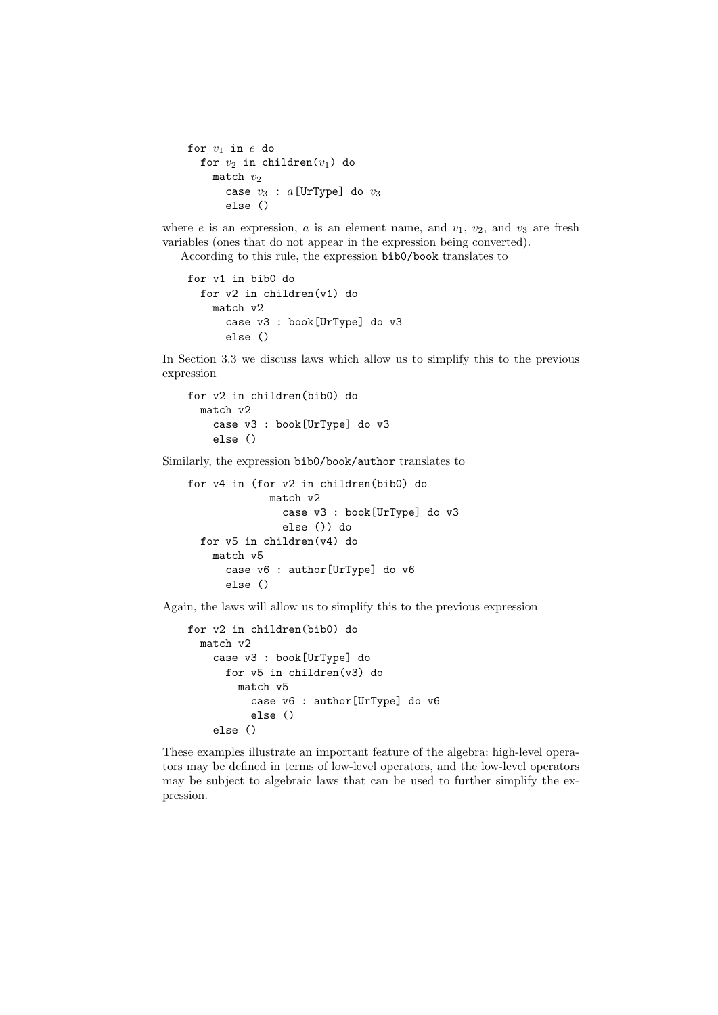```
for v_1 in e do
  for v_2 in children(v_1) do
    match v_2case v_3: a[UrType] do v_3else ()
```
where e is an expression, a is an element name, and  $v_1$ ,  $v_2$ , and  $v_3$  are fresh variables (ones that do not appear in the expression being converted).

According to this rule, the expression bib0/book translates to

```
for v1 in bib0 do
  for v2 in children(v1) do
   match v2
      case v3 : book[UrType] do v3
      else ()
```
In Section 3.3 we discuss laws which allow us to simplify this to the previous expression

```
for v2 in children(bib0) do
  match v2
    case v3 : book[UrType] do v3
    else ()
```
Similarly, the expression bib0/book/author translates to

```
for v4 in (for v2 in children(bib0) do
             match v2
               case v3 : book[UrType] do v3
               else ()) do
  for v5 in children(v4) do
   match v5
      case v6 : author[UrType] do v6
      else ()
```
Again, the laws will allow us to simplify this to the previous expression

```
for v2 in children(bib0) do
  match v2
    case v3 : book[UrType] do
      for v5 in children(v3) do
        match v5
          case v6 : author[UrType] do v6
          else ()
    else ()
```
These examples illustrate an important feature of the algebra: high-level operators may be defined in terms of low-level operators, and the low-level operators may be subject to algebraic laws that can be used to further simplify the expression.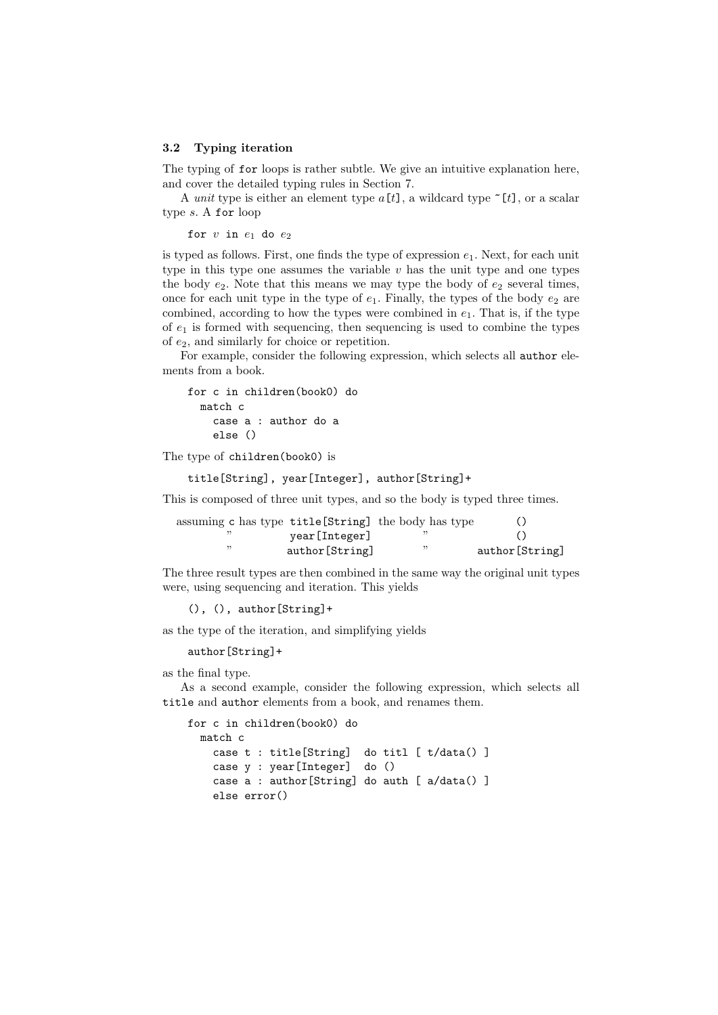#### 3.2 Typing iteration

The typing of for loops is rather subtle. We give an intuitive explanation here, and cover the detailed typing rules in Section 7.

A unit type is either an element type  $a[t]$ , a wildcard type  $\tilde{t}$ , or a scalar type s. A for loop

for  $v$  in  $e_1$  do  $e_2$ 

is typed as follows. First, one finds the type of expression  $e_1$ . Next, for each unit type in this type one assumes the variable  $v$  has the unit type and one types the body  $e_2$ . Note that this means we may type the body of  $e_2$  several times, once for each unit type in the type of  $e_1$ . Finally, the types of the body  $e_2$  are combined, according to how the types were combined in  $e_1$ . That is, if the type of  $e_1$  is formed with sequencing, then sequencing is used to combine the types of  $e_2$ , and similarly for choice or repetition.

For example, consider the following expression, which selects all author elements from a book.

```
for c in children(book0) do
  match c
    case a : author do a
    else ()
```
The type of children(book0) is

```
title[String], year[Integer], author[String]+
```
This is composed of three unit types, and so the body is typed three times.

| assuming c has type title [String] the body has type |                |
|------------------------------------------------------|----------------|
| year [Integer]                                       |                |
| author [String]                                      | author[String] |

The three result types are then combined in the same way the original unit types were, using sequencing and iteration. This yields

 $()$ ,  $()$ , author[String]+

as the type of the iteration, and simplifying yields

author[String]+

as the final type.

As a second example, consider the following expression, which selects all title and author elements from a book, and renames them.

```
for c in children(book0) do
  match c
    case t : title[String] do titl [ t/data() ]
    case y : year[Integer] do ()
    case a : author[String] do auth [ a/data() ]
    else error()
```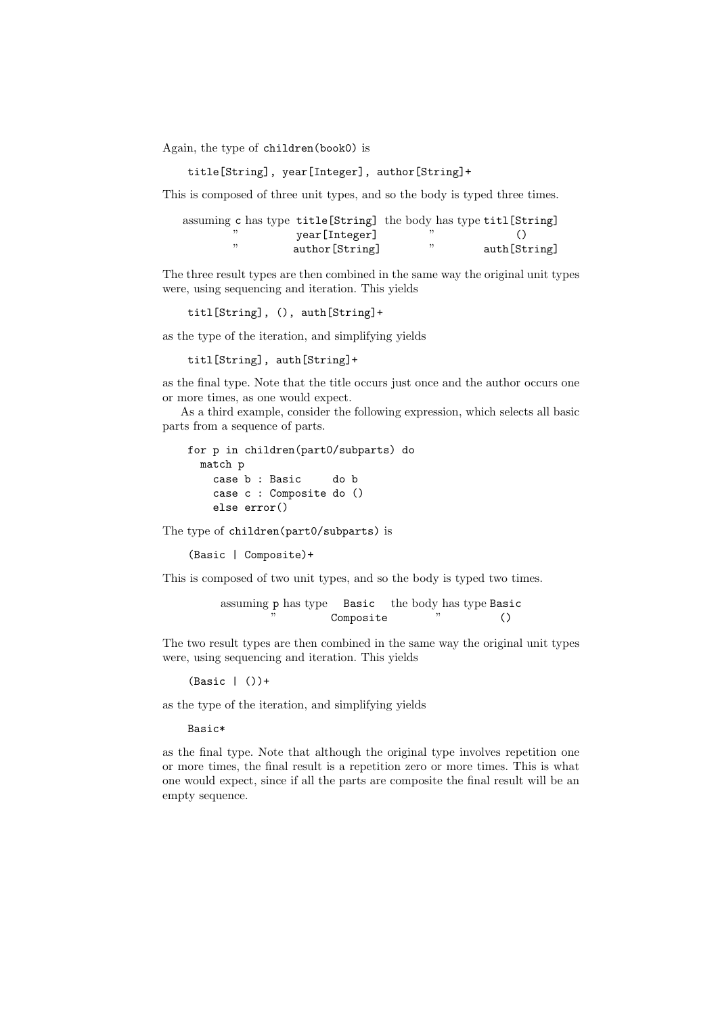Again, the type of children(book0) is

title[String], year[Integer], author[String]+

This is composed of three unit types, and so the body is typed three times.

| assuming c has type title [String] the body has type titl [String] |                 |               |
|--------------------------------------------------------------------|-----------------|---------------|
|                                                                    | year[Integer]   |               |
|                                                                    | author [String] | auth [String] |

The three result types are then combined in the same way the original unit types were, using sequencing and iteration. This yields

titl[String], (), auth[String]+

as the type of the iteration, and simplifying yields

titl[String], auth[String]+

as the final type. Note that the title occurs just once and the author occurs one or more times, as one would expect.

As a third example, consider the following expression, which selects all basic parts from a sequence of parts.

```
for p in children(part0/subparts) do
 match p
    case b : Basic do b
    case c : Composite do ()
    else error()
```
The type of children(part0/subparts) is

(Basic | Composite)+

This is composed of two unit types, and so the body is typed two times.

assuming p has type Basic the body has type Basic " Composite " ()

The two result types are then combined in the same way the original unit types were, using sequencing and iteration. This yields

 $(Basic | ())+$ 

as the type of the iteration, and simplifying yields

Basic\*

as the final type. Note that although the original type involves repetition one or more times, the final result is a repetition zero or more times. This is what one would expect, since if all the parts are composite the final result will be an empty sequence.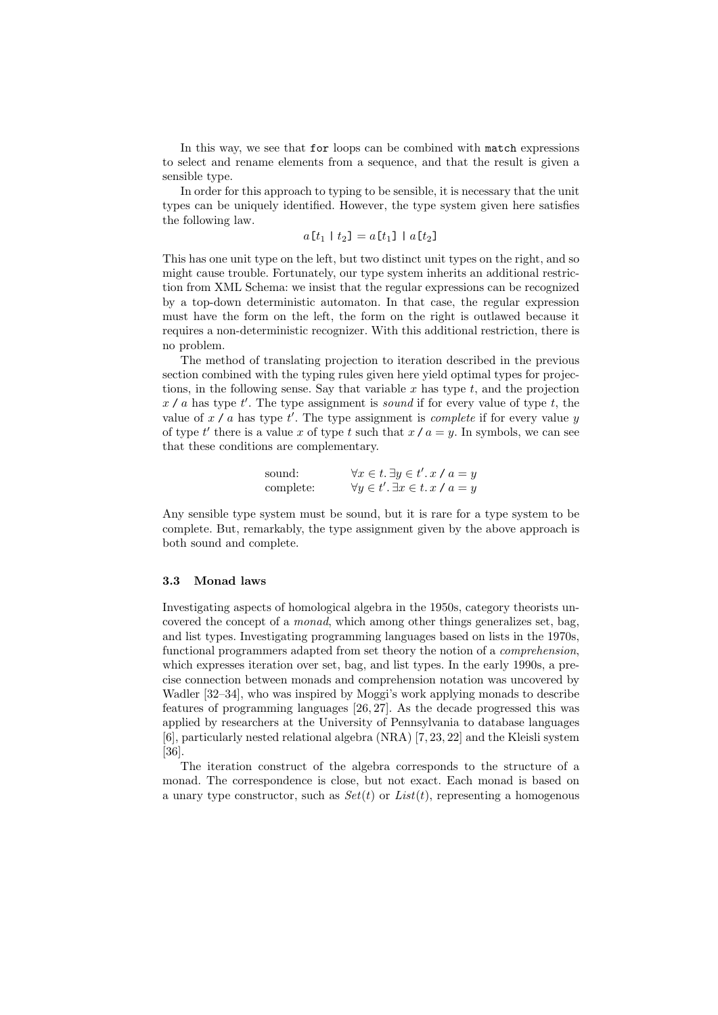In this way, we see that for loops can be combined with match expressions to select and rename elements from a sequence, and that the result is given a sensible type.

In order for this approach to typing to be sensible, it is necessary that the unit types can be uniquely identified. However, the type system given here satisfies the following law.

$$
a[t_1 \mid t_2] = a[t_1] \mid a[t_2]
$$

This has one unit type on the left, but two distinct unit types on the right, and so might cause trouble. Fortunately, our type system inherits an additional restriction from XML Schema: we insist that the regular expressions can be recognized by a top-down deterministic automaton. In that case, the regular expression must have the form on the left, the form on the right is outlawed because it requires a non-deterministic recognizer. With this additional restriction, there is no problem.

The method of translating projection to iteration described in the previous section combined with the typing rules given here yield optimal types for projections, in the following sense. Say that variable  $x$  has type  $t$ , and the projection  $x / a$  has type  $t'$ . The type assignment is sound if for every value of type  $t$ , the value of  $x / a$  has type  $t'$ . The type assignment is *complete* if for every value y of type t' there is a value x of type t such that  $x / a = y$ . In symbols, we can see that these conditions are complementary.

| sound:    | $\forall x \in t$ . $\exists y \in t'$ . $x \mid a = y$ |
|-----------|---------------------------------------------------------|
| complete: | $\forall y \in t'. \exists x \in t. x \mid a = y$       |

Any sensible type system must be sound, but it is rare for a type system to be complete. But, remarkably, the type assignment given by the above approach is both sound and complete.

#### 3.3 Monad laws

Investigating aspects of homological algebra in the 1950s, category theorists uncovered the concept of a *monad*, which among other things generalizes set, bag, and list types. Investigating programming languages based on lists in the 1970s, functional programmers adapted from set theory the notion of a comprehension, which expresses iteration over set, bag, and list types. In the early 1990s, a precise connection between monads and comprehension notation was uncovered by Wadler [32–34], who was inspired by Moggi's work applying monads to describe features of programming languages [26, 27]. As the decade progressed this was applied by researchers at the University of Pennsylvania to database languages [6], particularly nested relational algebra (NRA) [7, 23, 22] and the Kleisli system [36].

The iteration construct of the algebra corresponds to the structure of a monad. The correspondence is close, but not exact. Each monad is based on a unary type constructor, such as  $Set(t)$  or  $List(t)$ , representing a homogenous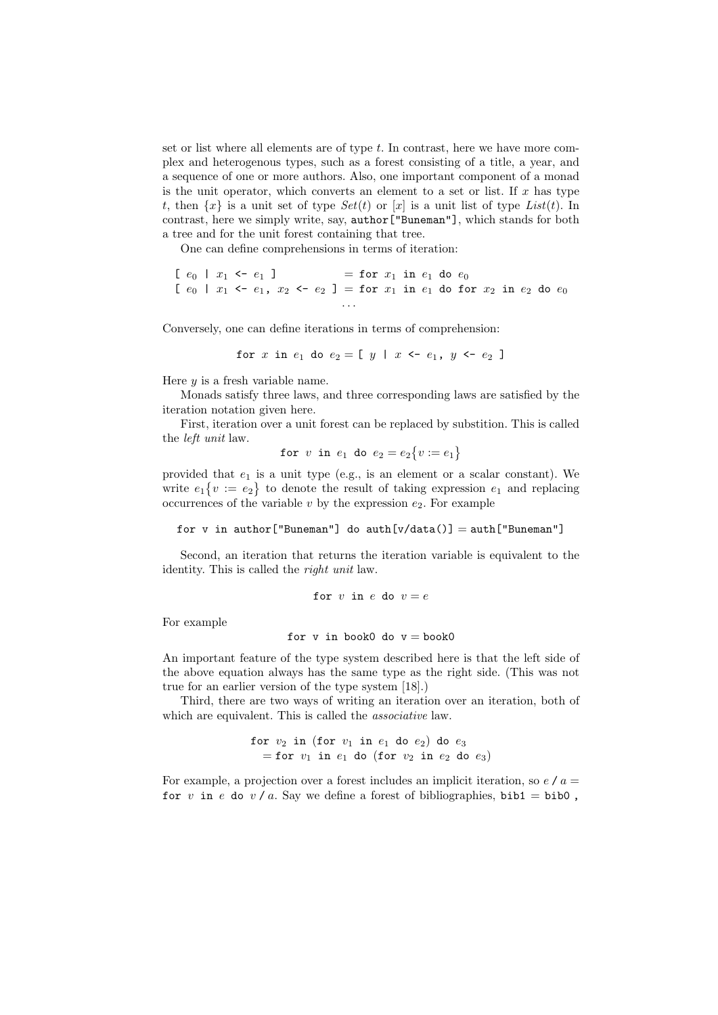set or list where all elements are of type t. In contrast, here we have more complex and heterogenous types, such as a forest consisting of a title, a year, and a sequence of one or more authors. Also, one important component of a monad is the unit operator, which converts an element to a set or list. If  $x$  has type t, then  $\{x\}$  is a unit set of type  $Set(t)$  or  $[x]$  is a unit list of type List(t). In contrast, here we simply write, say, author["Buneman"], which stands for both a tree and for the unit forest containing that tree.

One can define comprehensions in terms of iteration:

$$
\begin{array}{ccccccc}\n\text{[ } & e_0 & | & x_1 <= e_1\n\end{array}\n\quad\n\begin{array}{c}\n& = & \text{for } x_1 \text{ in } e_1 \text{ do } e_0 \\
\text{[ } & e_0 & | & x_1 <= e_1, \ x_2 <= e_2\n\end{array}\n\quad\n\begin{array}{c}\n& = & \text{for } x_1 \text{ in } e_1 \text{ do } e_0 \\
& = & \text{for } x_2 \text{ in } e_2 \text{ do } e_0\n\end{array}
$$

Conversely, one can define iterations in terms of comprehension:

. . .

for x in  $e_1$  do  $e_2 = [y \mid x \leftarrow e_1, y \leftarrow e_2]$ 

Here  $y$  is a fresh variable name.

Monads satisfy three laws, and three corresponding laws are satisfied by the iteration notation given here.

First, iteration over a unit forest can be replaced by substition. This is called the left unit law.

for v in 
$$
e_1
$$
 do  $e_2 = e_2 \{v := e_1\}$ 

provided that  $e_1$  is a unit type (e.g., is an element or a scalar constant). We write  $e_1\{v := e_2\}$  to denote the result of taking expression  $e_1$  and replacing occurrences of the variable v by the expression  $e_2$ . For example

for v in author["Buneman"] do auth[v/data()] = auth["Buneman"]

Second, an iteration that returns the iteration variable is equivalent to the identity. This is called the right unit law.

$$
\quad \text{for } v \text{ in } e \text{ do } v = e
$$

For example

$$
\hbox{for } v \hbox{ in book0 do } v = \hbox{book0}
$$

An important feature of the type system described here is that the left side of the above equation always has the same type as the right side. (This was not true for an earlier version of the type system [18].)

Third, there are two ways of writing an iteration over an iteration, both of which are equivalent. This is called the *associative* law.

> for  $v_2$  in (for  $v_1$  in  $e_1$  do  $e_2$ ) do  $e_3$ = for  $v_1$  in  $e_1$  do (for  $v_2$  in  $e_2$  do  $e_3$ )

For example, a projection over a forest includes an implicit iteration, so  $e / a =$ for v in e do  $v/a$ . Say we define a forest of bibliographies, bib1 = bib0,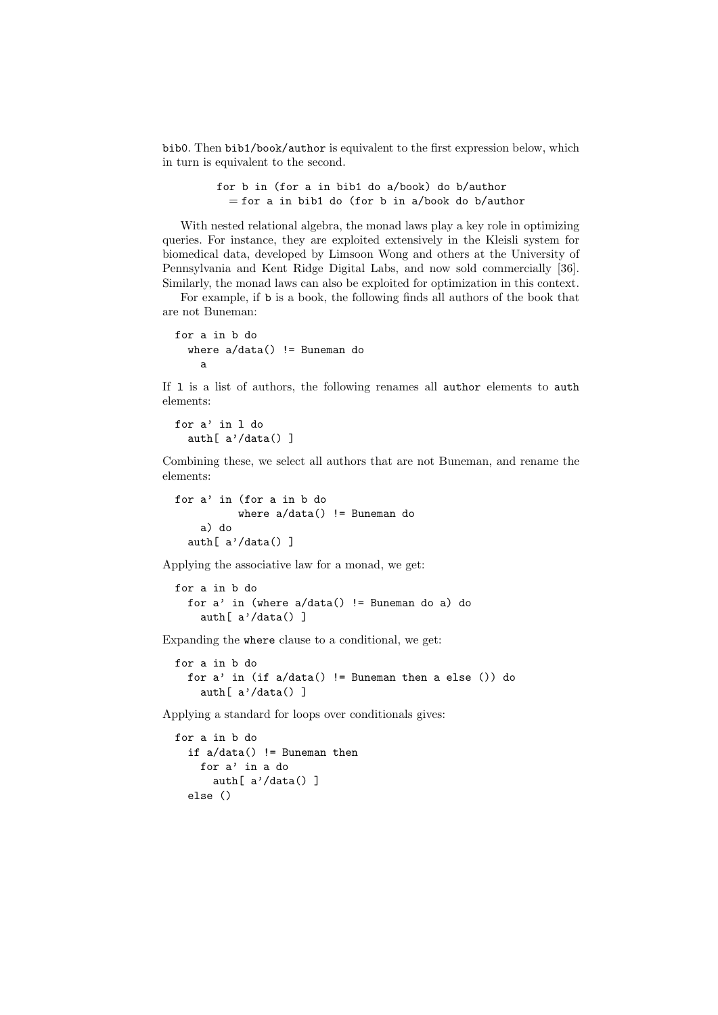bib0. Then bib1/book/author is equivalent to the first expression below, which in turn is equivalent to the second.

> for b in (for a in bib1 do a/book) do b/author  $=$  for a in bib1 do (for b in a/book do b/author

With nested relational algebra, the monad laws play a key role in optimizing queries. For instance, they are exploited extensively in the Kleisli system for biomedical data, developed by Limsoon Wong and others at the University of Pennsylvania and Kent Ridge Digital Labs, and now sold commercially [36]. Similarly, the monad laws can also be exploited for optimization in this context.

For example, if b is a book, the following finds all authors of the book that are not Buneman:

```
for a in b do
 where a/data() != Buneman do
    a
```
If l is a list of authors, the following renames all author elements to auth elements:

```
for a' in l do
  auth[ a'/data() ]
```
Combining these, we select all authors that are not Buneman, and rename the elements:

```
for a' in (for a in b do
          where a/data() != Buneman do
   a) do
 auth[ a'/data() ]
```
Applying the associative law for a monad, we get:

```
for a in b do
 for a' in (where a/data() != Buneman do a) do
   auth[ a'/data() ]
```
Expanding the where clause to a conditional, we get:

```
for a in b do
 for a' in (if a/data() != Buneman then a else ()) do
   auth[ a'/data() ]
```
Applying a standard for loops over conditionals gives:

```
for a in b do
 if a/data() != Buneman then
   for a' in a do
     auth[ a'/data() ]else ()
```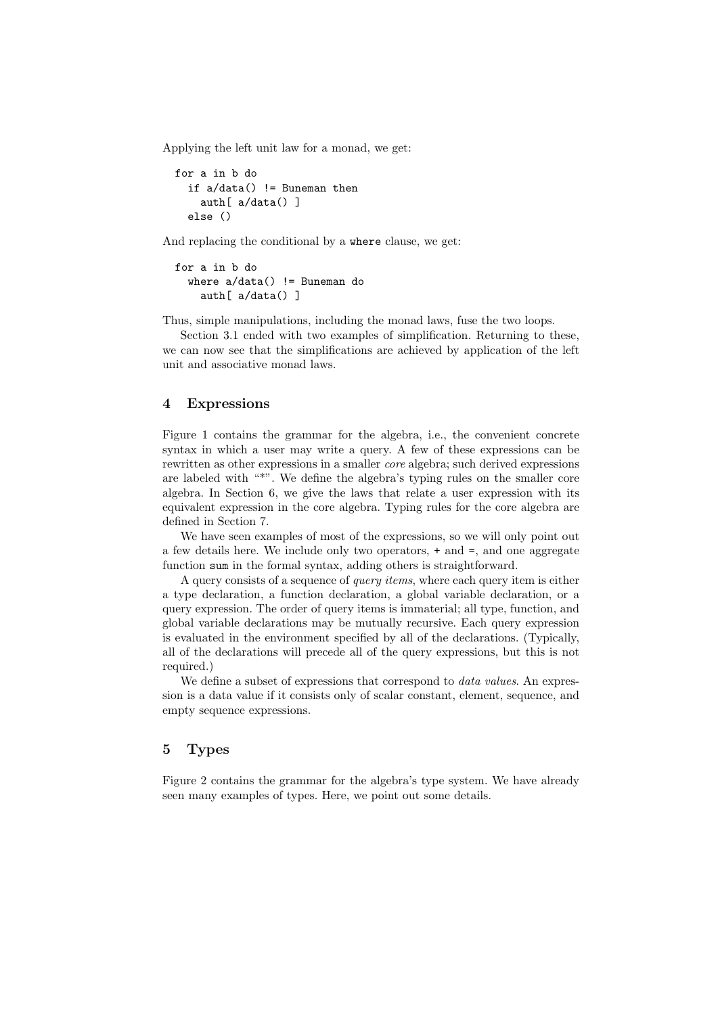Applying the left unit law for a monad, we get:

```
for a in b do
 if a/data() != Buneman then
    auth[ a/data() ]
  else ()
```
And replacing the conditional by a where clause, we get:

```
for a in b do
 where a/data() != Buneman do
    auth[ a/data() ]
```
Thus, simple manipulations, including the monad laws, fuse the two loops.

Section 3.1 ended with two examples of simplification. Returning to these, we can now see that the simplifications are achieved by application of the left unit and associative monad laws.

## 4 Expressions

Figure 1 contains the grammar for the algebra, i.e., the convenient concrete syntax in which a user may write a query. A few of these expressions can be rewritten as other expressions in a smaller core algebra; such derived expressions are labeled with "\*". We define the algebra's typing rules on the smaller core algebra. In Section 6, we give the laws that relate a user expression with its equivalent expression in the core algebra. Typing rules for the core algebra are defined in Section 7.

We have seen examples of most of the expressions, so we will only point out a few details here. We include only two operators, + and =, and one aggregate function sum in the formal syntax, adding others is straightforward.

A query consists of a sequence of query items, where each query item is either a type declaration, a function declaration, a global variable declaration, or a query expression. The order of query items is immaterial; all type, function, and global variable declarations may be mutually recursive. Each query expression is evaluated in the environment specified by all of the declarations. (Typically, all of the declarations will precede all of the query expressions, but this is not required.)

We define a subset of expressions that correspond to *data values*. An expression is a data value if it consists only of scalar constant, element, sequence, and empty sequence expressions.

# 5 Types

Figure 2 contains the grammar for the algebra's type system. We have already seen many examples of types. Here, we point out some details.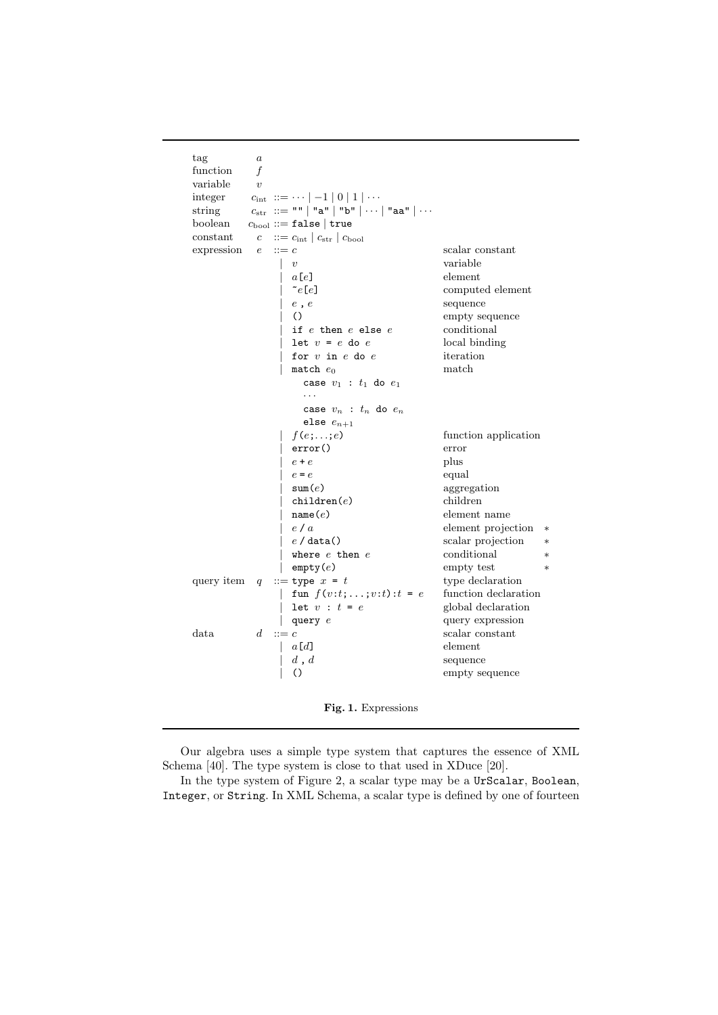```
tag a
function fvariable v
integer c_{\text{int}} ::= \cdots | -1 | 0 | 1 | \cdotsstring c_{str} ::= "\mid "a" \mid "b" \mid \cdots | "aa" \mid \cdots<br>boolean c_{b} ::= false \mid truec_{\text{bool}} ::= \mathtt{false} \mid \mathtt{true}constant c ::= c_{\text{int}} | c_{\text{str}} | c_{\text{bool}}expression e := c scalar constant
                  \upsilon variable
                  a[e] element
                   \tilde{e}[e] computed element
                   e , e \hfill sequence
                   () \qquad \qquad \text{empty sequence}<br>
if e then e else e \qquad \qquad \text{conditional}if e then e else e conditional<br>let v = e do e local binding
                  \begin{array}{ll}\n \text{let } v = e \text{ do } e \\
 \text{for } v \text{ in } e \text{ do } e\n \end{array}
\begin{array}{ll}\n \text{local bin} \\
 \text{iteration}\n \end{array}for v in e do ematch e_0case v_1 : t_1 do e_1· · ·
                     case v_n : t_n do e_nelse e_{n+1}<br>f(e;...;e)match
                                                function application
                   error() error
                   e + e plus
                   e = e\hspace{.6cm} equal
                   \text{sum}(e) aggregation<br>
children(e) children
                   children(e)name(e) element name
                   e / a element projection ∗
                   e / data() scalar projection ∗
                   where e then e conditional *empty(e) empty test ∗
query item q ::= type x = t type declaration
                   fun f(v:t; \ldots; v:t):t = e function declaration<br>let v : t = e global declaration
                                                global declaration
                | query e query expression
data d \ ::= c scalar constant
                | a[d] element
                \begin{array}{ccc} \n d & d \n \end{array} sequence
                | () empty sequence
```
Fig. 1. Expressions

Our algebra uses a simple type system that captures the essence of XML Schema [40]. The type system is close to that used in XDuce [20].

In the type system of Figure 2, a scalar type may be a UrScalar, Boolean, Integer, or String. In XML Schema, a scalar type is defined by one of fourteen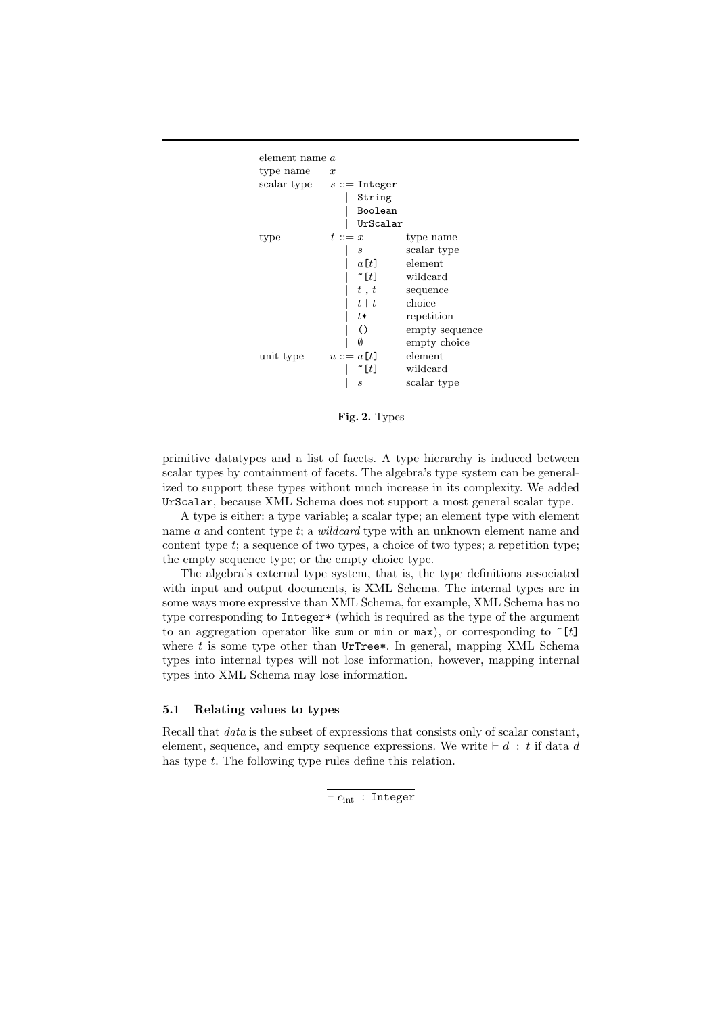

Fig. 2. Types

primitive datatypes and a list of facets. A type hierarchy is induced between scalar types by containment of facets. The algebra's type system can be generalized to support these types without much increase in its complexity. We added UrScalar, because XML Schema does not support a most general scalar type.

A type is either: a type variable; a scalar type; an element type with element name a and content type t; a *wildcard* type with an unknown element name and content type  $t$ ; a sequence of two types, a choice of two types; a repetition type; the empty sequence type; or the empty choice type.

The algebra's external type system, that is, the type definitions associated with input and output documents, is XML Schema. The internal types are in some ways more expressive than XML Schema, for example, XML Schema has no type corresponding to Integer\* (which is required as the type of the argument to an aggregation operator like sum or min or max), or corresponding to  $\tilde{t}$ where t is some type other than  $U \rvert \rvert$  are  $\ast$ . In general, mapping XML Schema types into internal types will not lose information, however, mapping internal types into XML Schema may lose information.

# 5.1 Relating values to types

Recall that data is the subset of expressions that consists only of scalar constant, element, sequence, and empty sequence expressions. We write  $\vdash d : t$  if data d has type t. The following type rules define this relation.

 $\vdash c_{\text{int}}$ : Integer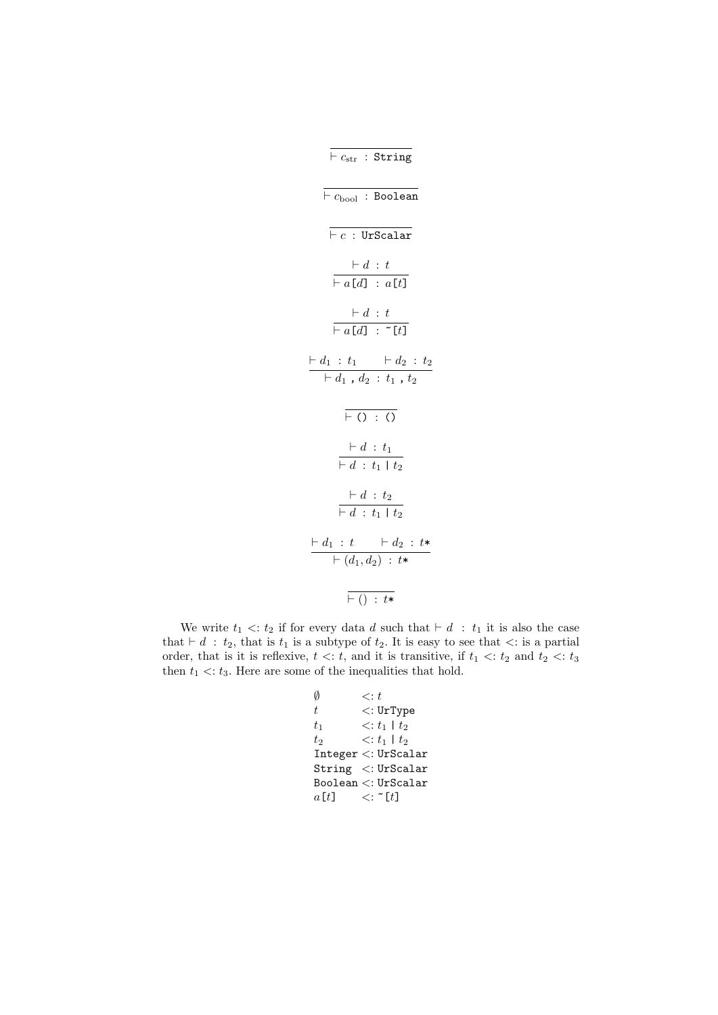| $\vdash c_{\rm str}$ : String                                                   |
|---------------------------------------------------------------------------------|
| $\vdash c_{\text{bool}}$ : Boolean                                              |
| $\vdash c$ : UrScalar                                                           |
| $\frac{\vdash d : t}{\vdash a[d] : a[t]}$                                       |
| $\frac{\vdash d : t}{\vdash a[d] : \ulcorner [t]}$                              |
| $\frac{\vdash d_1 : t_1 \qquad \vdash d_2 : t_2}{\vdash d_1 , d_2 : t_1 , t_2}$ |
| $\overline{+ ( ) : ( )}$                                                        |
| $\frac{\vdash d \; : \; t_1}{\vdash d \; : \; t_1 \;   \; t_2}$                 |
| $\frac{\vdash d \; : \; t_2}{\vdash d \; : \; t_1 \;   \; t_2}$                 |
| $\frac{\vdash d_1 : t \qquad \vdash d_2 : t*}{\vdash (d_1, d_2) : t*}$          |
| $\overline{\vdash}() : t*$                                                      |

We write  $t_1 <: t_2$  if for every data d such that  $\vdash d : t_1$  it is also the case that  $\vdash d : t_2$ , that is  $t_1$  is a subtype of  $t_2$ . It is easy to see that  $\lt$ : is a partial order, that is it is reflexive,  $t \leq t$ , and it is transitive, if  $t_1 \leq t_2$  and  $t_2 \leq t_3$ then  $t_1 < t_3$ . Here are some of the inequalities that hold.

```
\emptyset \hspace{0.2in} <: t\begin{array}{lll} t & <: \mathtt{UrType} \\ t_1 & <: t_1 \mid t_2 \end{array}\langle : t_1 | t_2t_2 \qquad <: t_1 \mid t_2Integer <: UrScalar
String <: UrScalar
\texttt{Boolean} <: \texttt{UrScalar}a[t] \langle : \tilde{t}]
```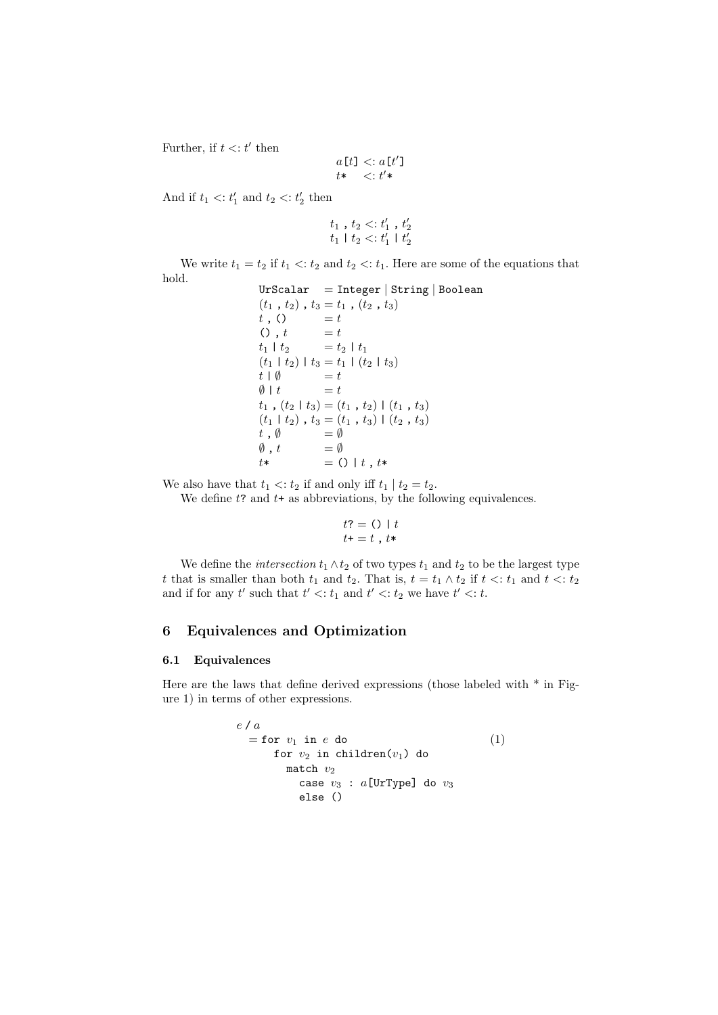Further, if  $t < t'$  then

$$
a[t] <: a[t']t* <: t'*
$$

And if  $t_1 < t'_1$  and  $t_2 < t'_2$  then

$$
\begin{array}{c} t_1 \text{ , } t_2 <: t'_1 \text{ , } t'_2 \\ t_1 \mid t_2 <: t'_1 \mid t'_2 \end{array}
$$

We write  $t_1 = t_2$  if  $t_1 < t_2$  and  $t_2 < t_1$ . Here are some of the equations that hold.

```
UrScalar = Integer | String | Boolean(t_1, t_2), t_3 = t_1, (t_2, t_3)t, () = t(), t = tt_1 | t_2 = t_2 | t_1(t_1 \mid t_2) \mid t_3 = t_1 \mid (t_2 \mid t_3)t \parallel \emptyset = t<br>
\emptyset \parallel t = t
\emptyset | t
t_1, (t_2 | t_3) = (t_1, t_2) | (t_1, t_3)(t_1 \mid t_2), t_3 = (t_1, t_3) \mid (t_2, t_3)<br>t_1, \emptyset = \emptysett , \emptyset\emptyset, t = \emptysett^* = () | t, t^*
```
We also have that  $t_1 < t_2$  if and only iff  $t_1 | t_2 = t_2$ .

We define  $t$ ? and  $t$ + as abbreviations, by the following equivalences.

$$
t? = () | t
$$

$$
t+ = t , t*
$$

We define the *intersection*  $t_1 \wedge t_2$  of two types  $t_1$  and  $t_2$  to be the largest type t that is smaller than both  $t_1$  and  $t_2$ . That is,  $t = t_1 \wedge t_2$  if  $t <: t_1$  and  $t <: t_2$ and if for any  $t'$  such that  $t' < t_1$  and  $t' < t_2$  we have  $t' < t$ .

# 6 Equivalences and Optimization

### 6.1 Equivalences

Here are the laws that define derived expressions (those labeled with  $*$  in Figure 1) in terms of other expressions.

```
e / a
  = for v_1 in e do
      for v_2 in children(v_1) do
        match v_2case v_3: a[UrType] do v_3else ()
                                            (1)
```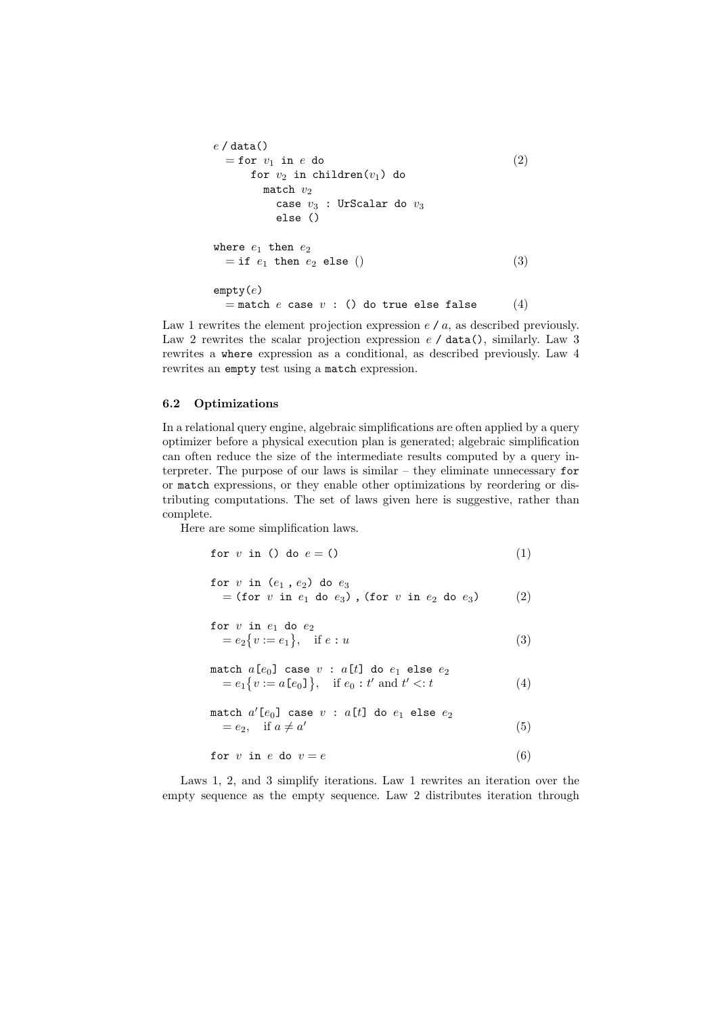```
e / data()
 = for v_1 in e do
     for v_2 in children(v_1) do
       match v_2case v_3 : UrScalar do v_3else ()
                                             (2)
where e_1 then e_2= if e_1 then e_2 else () (3)
empty(e)= match e case v : () do true else false (4)
```
Law 1 rewrites the element projection expression  $e / a$ , as described previously. Law 2 rewrites the scalar projection expression  $e / \text{data}$ , similarly. Law 3 rewrites a where expression as a conditional, as described previously. Law 4 rewrites an empty test using a match expression.

# 6.2 Optimizations

In a relational query engine, algebraic simplifications are often applied by a query optimizer before a physical execution plan is generated; algebraic simplification can often reduce the size of the intermediate results computed by a query interpreter. The purpose of our laws is similar – they eliminate unnecessary for or match expressions, or they enable other optimizations by reordering or distributing computations. The set of laws given here is suggestive, rather than complete.

Here are some simplification laws.

for v in () do  $e = ()$  (1)

| for $v$ in $(e_1, e_2)$ do $e_3$ |  |  |  |  |                                                            |  |  |     |
|----------------------------------|--|--|--|--|------------------------------------------------------------|--|--|-----|
|                                  |  |  |  |  | $=$ (for v in $e_1$ do $e_3$ ), (for v in $e_2$ do $e_3$ ) |  |  | (2) |

for  $v$  in  $e_1$  do  $e_2$  $= e_2 \{v := e_1\}, \quad \text{if } e : u$  (3)

$$
\begin{array}{ll}\n\text{match} \ a[e_0] \ \text{case} \ v \ : \ a[t] \ \text{do} \ e_1 \ \text{else} \ e_2 \\
= e_1\{v := a[e_0]\}, \quad \text{if} \ e_0 : t' \ \text{and} \ t' <: t\n\end{array} \tag{4}
$$

match  $a'$ [ $e_0$ ] case  $v$  :  $a[t]$  do  $e_1$  else  $e_2$  $= e_2$ , if  $a \neq a'$ (5)

$$
for v in e do v = e
$$
 (6)

Laws 1, 2, and 3 simplify iterations. Law 1 rewrites an iteration over the empty sequence as the empty sequence. Law 2 distributes iteration through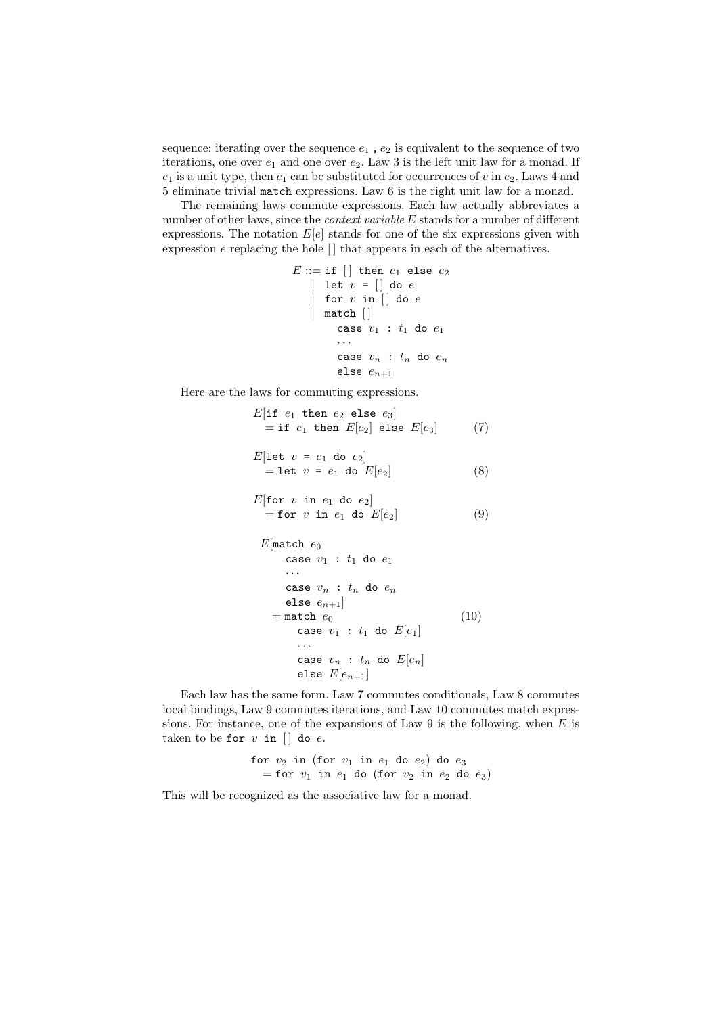sequence: iterating over the sequence  $e_1$ ,  $e_2$  is equivalent to the sequence of two iterations, one over  $e_1$  and one over  $e_2$ . Law 3 is the left unit law for a monad. If  $e_1$  is a unit type, then  $e_1$  can be substituted for occurrences of v in  $e_2$ . Laws 4 and 5 eliminate trivial match expressions. Law 6 is the right unit law for a monad.

The remaining laws commute expressions. Each law actually abbreviates a number of other laws, since the *context variable E* stands for a number of different expressions. The notation  $E[e]$  stands for one of the six expressions given with expression  $e$  replacing the hole  $\left[\right]$  that appears in each of the alternatives.

```
E ::= \texttt{if} \mid \text{then} \ e_1 \ \texttt{else} \ e_2| let v = [] do e| for v in [] do e| match |case v_1 : t_1 do e_1· · ·
         case v_n : t_n do e_nelse e_{n+1}
```
Here are the laws for commuting expressions.

$$
E[\text{if } e_1 \text{ then } e_2 \text{ else } e_3] \\
 = \text{if } e_1 \text{ then } E[e_2] \text{ else } E[e_3] \tag{7}
$$

$$
E[\text{let } v = e_1 \text{ do } e_2]
$$
  
= let  $v = e_1 \text{ do } E[e_2]$  (8)

$$
E[\text{for } v \text{ in } e_1 \text{ do } e_2] = \text{for } v \text{ in } e_1 \text{ do } E[e_2]
$$
 (9)

$$
E[\text{match } e_0
$$
  
\n
$$
\text{case } v_1 : t_1 \text{ do } e_1
$$
  
\n...  
\n
$$
\text{case } v_n : t_n \text{ do } e_n
$$
  
\n
$$
\text{else } e_{n+1}]
$$
  
\n
$$
= \text{match } e_0
$$
  
\n
$$
\text{case } v_1 : t_1 \text{ do } E[e_1]
$$
  
\n...  
\n
$$
\text{case } v_n : t_n \text{ do } E[e_n]
$$
  
\n
$$
\text{else } E[e_{n+1}]
$$
  
\n(10)

Each law has the same form. Law 7 commutes conditionals, Law 8 commutes local bindings, Law 9 commutes iterations, and Law 10 commutes match expressions. For instance, one of the expansions of Law  $9$  is the following, when  $E$  is taken to be for  $v$  in  $[]$  do  $e$ .

> for  $v_2$  in (for  $v_1$  in  $e_1$  do  $e_2$ ) do  $e_3$ = for  $v_1$  in  $e_1$  do (for  $v_2$  in  $e_2$  do  $e_3$ )

This will be recognized as the associative law for a monad.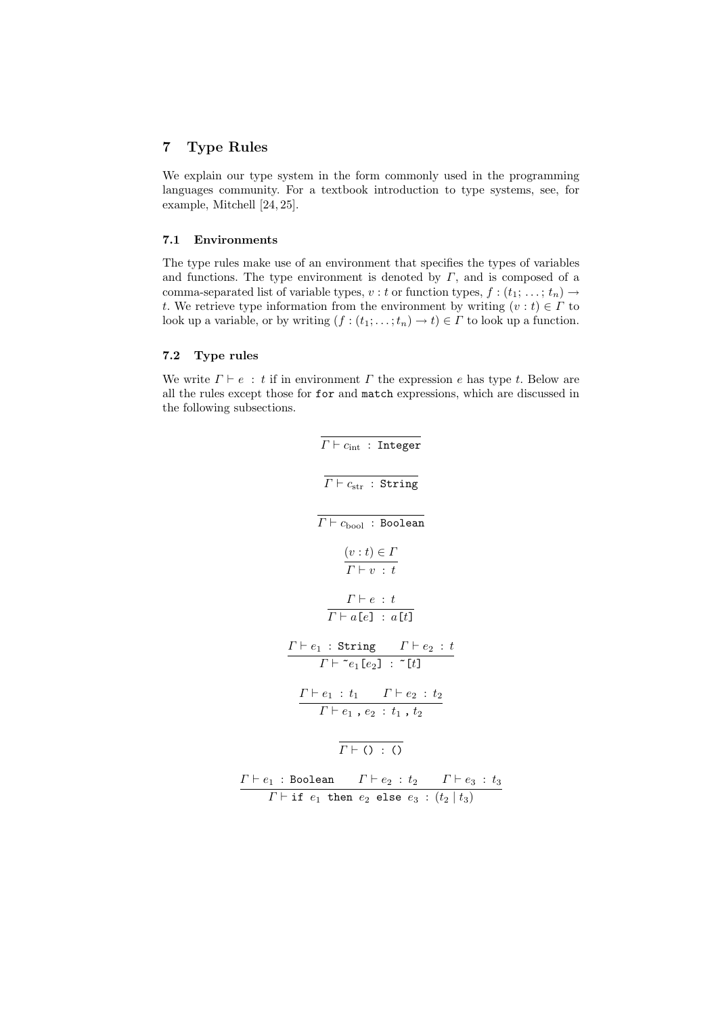# 7 Type Rules

We explain our type system in the form commonly used in the programming languages community. For a textbook introduction to type systems, see, for example, Mitchell [24, 25].

### 7.1 Environments

The type rules make use of an environment that specifies the types of variables and functions. The type environment is denoted by  $\Gamma$ , and is composed of a comma-separated list of variable types,  $v : t$  or function types,  $f : (t_1; \ldots; t_n) \rightarrow$ t. We retrieve type information from the environment by writing  $(v : t) \in \Gamma$  to look up a variable, or by writing  $(f:(t_1; \ldots; t_n) \to t) \in \Gamma$  to look up a function.

# 7.2 Type rules

We write  $\Gamma \vdash e : t$  if in environment  $\Gamma$  the expression e has type t. Below are all the rules except those for for and match expressions, which are discussed in the following subsections.

| $\Gamma\vdash c_{\rm int}$ : Integer                                                                         |
|--------------------------------------------------------------------------------------------------------------|
| $\Gamma \vdash c_{\rm str}$ : String                                                                         |
| $\Gamma\vdash c_{\text{bool}}$ : Boolean                                                                     |
| $(v:t) \in \Gamma$<br>$\overline{\Gamma\vdash v\; : \; t}$                                                   |
| $\Gamma\vdash e\;:\;t$<br>$\Gamma \vdash a[e] : a[t]$                                                        |
| $\Gamma \vdash e_1$ : String $\Gamma \vdash e_2 : t$<br>$\Gamma \vdash \tilde{e}_1[e_2] : \tilde{e}_1[t]$    |
| $\Gamma \vdash e_1 : t_1 \quad \Gamma \vdash e_2 : t_2$<br>$\Gamma\vdash e_1$ , $e_2$ : $t_1$ , $t_2$        |
| $\overline{\Gamma \vdash (\ ) : (\ )}$                                                                       |
| $\Gamma \vdash e_1$ : Boolean $\Gamma \vdash e_2 : t_2$ $\Gamma \vdash e_3 : t_3$                            |
| $\Gamma \vdash \texttt{if} \ \ e_1 \ \ \texttt{then} \ \ e_2 \ \ \texttt{else} \ \ e_3 \ : \ (t_2 \mid t_3)$ |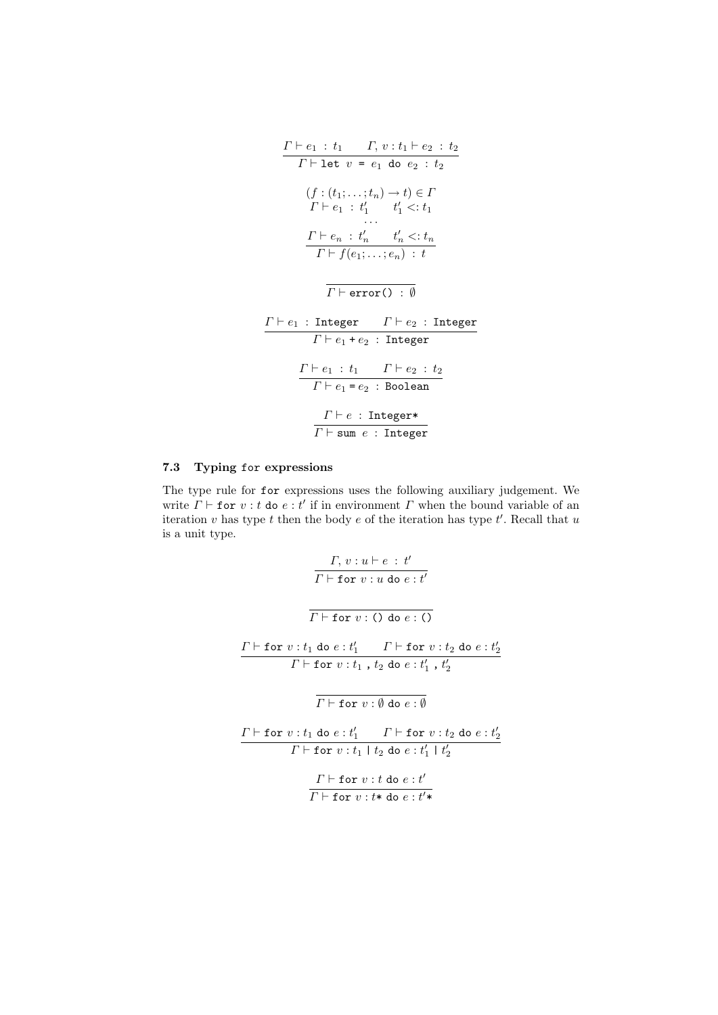$$
\frac{\Gamma \vdash e_1 : t_1 \quad \Gamma, v : t_1 \vdash e_2 : t_2}{\Gamma \vdash \text{let } v = e_1 \text{ do } e_2 : t_2}
$$
\n
$$
(f : (t_1; \ldots; t_n) \rightarrow t) \in \Gamma
$$
\n
$$
\Gamma \vdash e_1 : t'_1 \quad t'_1 < t_1
$$
\n
$$
\cdots
$$
\n
$$
\frac{\Gamma \vdash e_n : t'_n \quad t'_n < t_n}{\Gamma \vdash f(e_1; \ldots; e_n) : t}
$$
\n
$$
\overline{\Gamma \vdash \text{error() : } \emptyset}
$$
\n
$$
\Gamma \vdash e_1 : \text{Integer} \quad \Gamma \vdash e_2 : \text{Integer}
$$
\n
$$
\frac{\Gamma \vdash e_1 : t_1 \quad \Gamma \vdash e_2 : t_2}{\Gamma \vdash e_1 = e_2 : \text{Boolean}}
$$
\n
$$
\frac{\Gamma \vdash e_1 : t_1 \quad \Gamma \vdash e_2 : t_2}{\Gamma \vdash e_1 = e_2 : \text{Boolean}}
$$
\n
$$
\frac{\Gamma \vdash e : \text{Integer*}}{\Gamma \vdash \text{sum } e : \text{Integer}}
$$

# 7.3 Typing for expressions

The type rule for for expressions uses the following auxiliary judgement. We write  $\overline{\Gamma} \vdash$  for  $v : t$  do  $e : t'$  if in environment  $\Gamma$  when the bound variable of an iteration v has type t then the body  $e$  of the iteration has type  $t'$ . Recall that u is a unit type.

$$
\frac{\Gamma, v : u \vdash e : t'}{\Gamma \vdash \text{for } v : u \text{ do } e : t'}
$$
\n
$$
\frac{\Gamma \vdash \text{for } v : u \text{ do } e : t'}{\Gamma \vdash \text{for } v : (\text{do } e : (\text{to } e \text{ or } e \text{ or } e \text{ or } e \text{ or } e \text{ or } e \text{ or } e \text{ or } e \text{ or } e \text{ or } e \text{ or } e \text{ or } e \text{ or } e \text{ or } e \text{ or } e \text{ or } e \text{ or } e \text{ or } e \text{ or } e \text{ or } e \text{ or } e \text{ or } e \text{ or } e \text{ or } e \text{ or } e \text{ or } e \text{ or } e \text{ or } e \text{ or } e \text{ or } e \text{ or } e \text{ or } e \text{ or } e \text{ or } e \text{ or } e \text{ or } e \text{ or } e \text{ or } e \text{ or } e \text{ or } e \text{ or } e \text{ or } e \text{ or } e \text{ or } e \text{ or } e \text{ or } e \text{ or } e \text{ or } e \text{ or } e \text{ or } e \text{ or } e \text{ or } e \text{ or } e \text{ or } e \text{ or } e \text{ or } e \text{ or } e \text{ or } e \text{ or } e \text{ or } e \text{ or } e \text{ or } e \text{ or } e \text{ or } e \text{ or } e \text{ or } e \text{ or } e \text{ or } e \text{ or } e \text{ or } e \text{ or } e \text{ or } e \text{ or } e \text{ or } e \text{ or } e \text{ or } e \text{ or } e \text{ or } e \text{ or } e \text{ or } e \text{ or } e \text{ or } e \text{ or } e \text{ or } e \text{ or } e \text{ or } e \text{ or } e \text{ or } e \text{ or } e \text{ or } e \text{ or } e \text{ or } e \text{ or } e \text{ or } e \text{ or } e \text{ or } e \text{ or } e \text{ or } e \text{ or } e \text{ or } e \text{ or } e \text{ or } e \text{ or } e \text{ or } e \text{ or } e \text{ or } e \text{ or } e \text{ or } e \text{ or } e \text{ or } e \text{ or } e \text{ or }
$$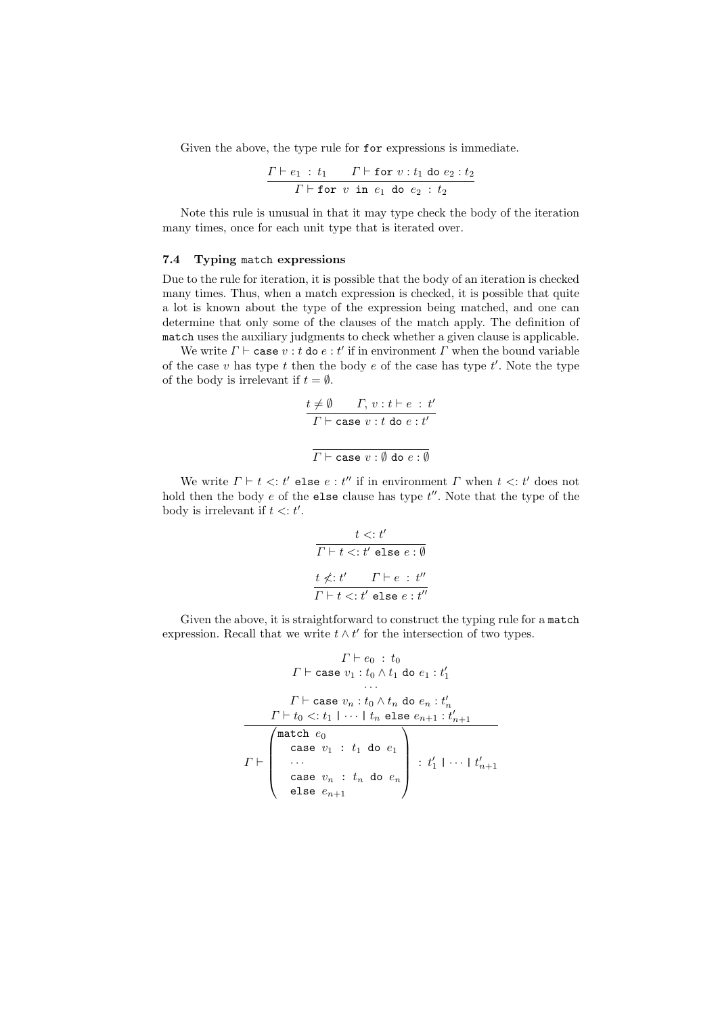Given the above, the type rule for for expressions is immediate.

$$
\frac{\Gamma\vdash e_1\ :\ t_1\qquad \Gamma\vdash \texttt{for}\ v:t_1\ \texttt{do}\ e_2:t_2}{\Gamma\vdash \texttt{for}\ v\ \texttt{in}\ e_1\ \texttt{do}\ e_2:t_2}
$$

Note this rule is unusual in that it may type check the body of the iteration many times, once for each unit type that is iterated over.

#### 7.4 Typing match expressions

Due to the rule for iteration, it is possible that the body of an iteration is checked many times. Thus, when a match expression is checked, it is possible that quite a lot is known about the type of the expression being matched, and one can determine that only some of the clauses of the match apply. The definition of match uses the auxiliary judgments to check whether a given clause is applicable.

We write  $\Gamma \vdash$  case  $v : t$  do  $e : t'$  if in environment  $\Gamma$  when the bound variable of the case v has type t then the body  $e$  of the case has type  $t'$ . Note the type of the body is irrelevant if  $t = \emptyset$ .

$$
\frac{t \neq \emptyset \qquad \Gamma, v : t \vdash e : t'}{\Gamma \vdash \text{case } v : t \text{ do } e : t'}
$$
\n
$$
\frac{\Gamma \vdash \text{case } v : \emptyset \text{ do } e : \emptyset}{\Gamma \vdash \text{case } v : \emptyset \text{ do } e : \emptyset}
$$

We write  $\Gamma \vdash t \leq t'$  else  $e : t''$  if in environment  $\Gamma$  when  $t \leq t'$  does not hold then the body  $e$  of the else clause has type  $t''$ . Note that the type of the body is irrelevant if  $t < t'$ .

$$
t <: t'
$$
\n
$$
\overline{\Gamma \vdash t <: t' \text{ else } e : \emptyset}
$$
\n
$$
\underline{t \nless t' \quad \Gamma \vdash e : t''}
$$
\n
$$
\overline{\Gamma \vdash t <: t' \text{ else } e : t''}
$$

Given the above, it is straightforward to construct the typing rule for a match expression. Recall that we write  $t \wedge t'$  for the intersection of two types.

$$
\Gamma \vdash e_0 : t_0
$$
\n
$$
\Gamma \vdash \text{case } v_1 : t_0 \wedge t_1 \text{ do } e_1 : t'_1
$$
\n
$$
\cdots
$$
\n
$$
\Gamma \vdash \text{case } v_n : t_0 \wedge t_n \text{ do } e_n : t'_n
$$
\n
$$
\Gamma \vdash t_0 <: t_1 \mid \cdots \mid t_n \text{ else } e_{n+1} : t'_{n+1}
$$
\n
$$
\Gamma \vdash \begin{pmatrix} \text{match } e_0 \\ \text{case } v_1 : t_1 \text{ do } e_1 \\ \cdots \\ \text{case } v_n : t_n \text{ do } e_n \end{pmatrix} : t'_1 \mid \cdots \mid t'_{n+1}
$$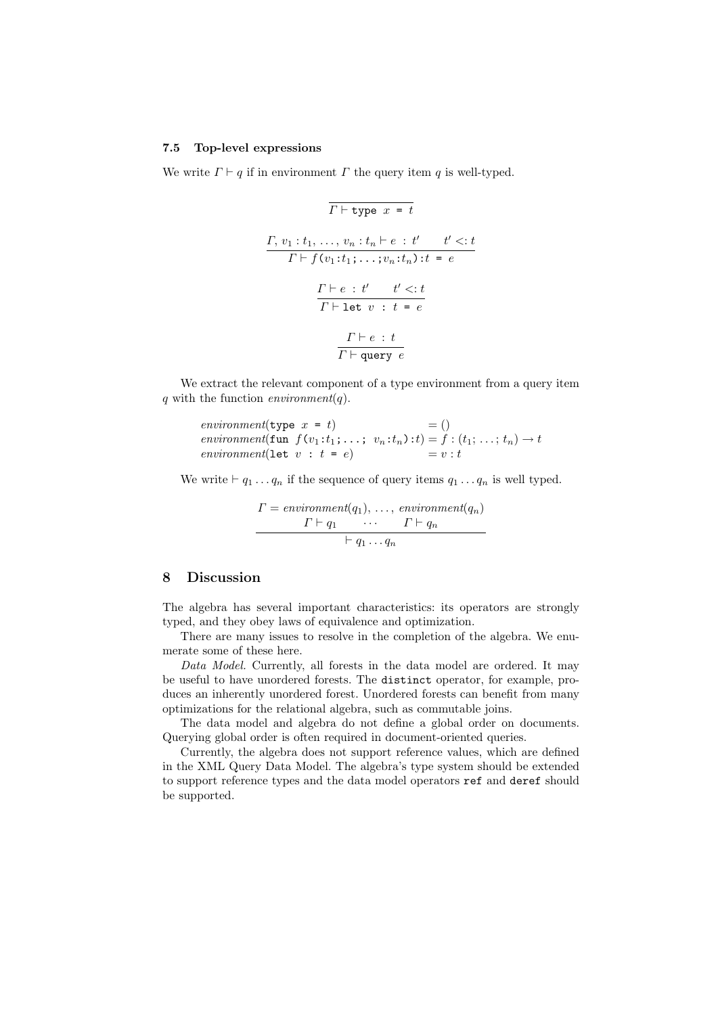#### 7.5 Top-level expressions

We write  $\Gamma \vdash q$  if in environment  $\Gamma$  the query item q is well-typed.

$$
\overline{I \vdash type \ x = t}
$$
\n
$$
\underline{\Gamma}, v_1 : t_1, \ldots, v_n : t_n \vdash e : t' \quad t' < t
$$
\n
$$
\underline{\Gamma \vdash f(v_1 : t_1; \ldots; v_n : t_n) : t = e}
$$
\n
$$
\underline{\Gamma \vdash e : t' \quad t' < t}
$$
\n
$$
\overline{\Gamma \vdash \text{let} \ v : t = e}
$$
\n
$$
\frac{\Gamma \vdash e : t}{\Gamma \vdash \text{query} e}
$$

We extract the relevant component of a type environment from a query item q with the function environment(q).

*environment*(type 
$$
x = t
$$
) = ()  
*environment*(fun  $f(v_1:t_1;...; v_n:t_n):t) = f:(t_1;...; t_n) \rightarrow t$   
*environment*(let  $v : t = e$ ) =  $v : t$ 

We write  $\vdash q_1 \ldots q_n$  if the sequence of query items  $q_1 \ldots q_n$  is well typed.

$$
\Gamma = environment(q_1), \ldots, environment(q_n)
$$
\n
$$
\Gamma \vdash q_1 \cdots \Gamma \vdash q_n
$$
\n
$$
\vdots \qquad \vdots
$$
\n
$$
\vdots
$$
\n
$$
\vdots
$$
\n
$$
\vdots
$$
\n
$$
\vdots
$$
\n
$$
\vdots
$$
\n
$$
\vdots
$$
\n
$$
\vdots
$$
\n
$$
\vdots
$$
\n
$$
\vdots
$$
\n
$$
\vdots
$$
\n
$$
\vdots
$$
\n
$$
\vdots
$$
\n
$$
\vdots
$$
\n
$$
\vdots
$$
\n
$$
\vdots
$$
\n
$$
\vdots
$$
\n
$$
\vdots
$$
\n
$$
\vdots
$$
\n
$$
\vdots
$$
\n
$$
\vdots
$$
\n
$$
\vdots
$$
\n
$$
\vdots
$$
\n
$$
\vdots
$$
\n
$$
\vdots
$$
\n
$$
\vdots
$$
\n
$$
\vdots
$$
\n
$$
\vdots
$$
\n
$$
\vdots
$$
\n
$$
\vdots
$$
\n
$$
\vdots
$$
\n
$$
\vdots
$$
\n
$$
\vdots
$$
\n
$$
\vdots
$$
\n
$$
\vdots
$$
\n
$$
\vdots
$$
\n
$$
\vdots
$$
\n
$$
\vdots
$$
\n
$$
\vdots
$$
\n
$$
\vdots
$$
\n
$$
\vdots
$$
\n
$$
\vdots
$$
\n
$$
\vdots
$$
\n
$$
\vdots
$$
\n
$$
\vdots
$$
\n
$$
\vdots
$$
\n
$$
\vdots
$$
\n
$$
\vdots
$$
\n
$$
\vdots
$$
\n
$$
\vdots
$$
\n
$$
\vdots
$$
\n
$$
\vdots
$$
\n
$$
\vdots
$$
\n
$$
\vdots
$$
\n
$$
\vdots
$$
\n
$$
\vdots
$$
\n
$$
\vdots
$$
\n
$$
\vdots
$$
\n
$$
\vdots
$$
\n

# 8 Discussion

The algebra has several important characteristics: its operators are strongly typed, and they obey laws of equivalence and optimization.

There are many issues to resolve in the completion of the algebra. We enumerate some of these here.

Data Model. Currently, all forests in the data model are ordered. It may be useful to have unordered forests. The distinct operator, for example, produces an inherently unordered forest. Unordered forests can benefit from many optimizations for the relational algebra, such as commutable joins.

The data model and algebra do not define a global order on documents. Querying global order is often required in document-oriented queries.

Currently, the algebra does not support reference values, which are defined in the XML Query Data Model. The algebra's type system should be extended to support reference types and the data model operators ref and deref should be supported.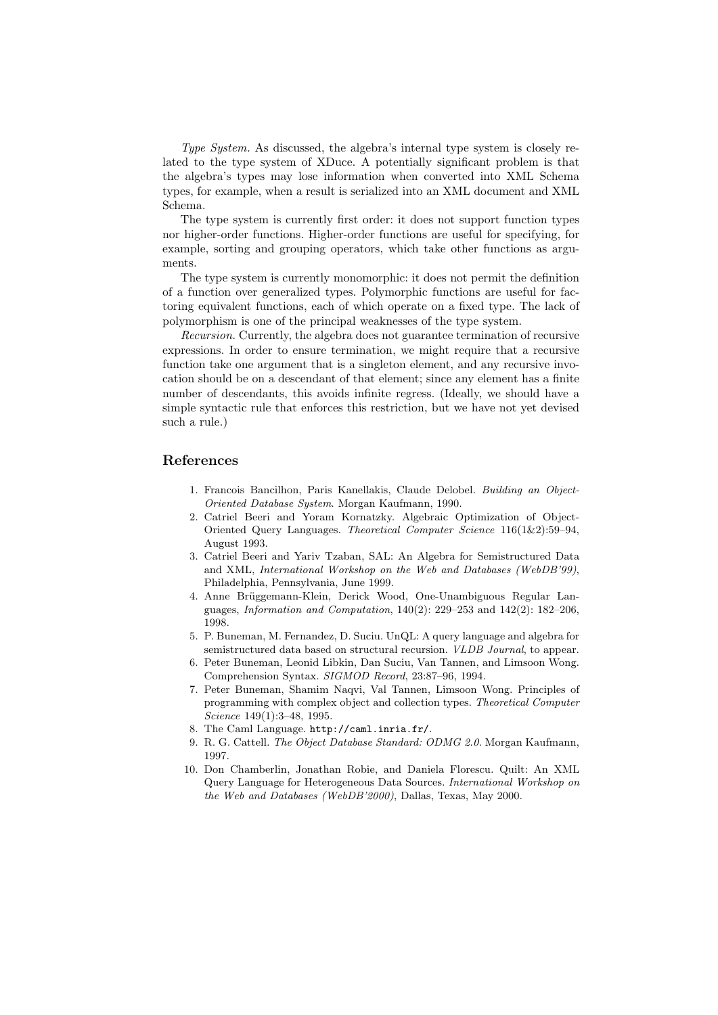Type System. As discussed, the algebra's internal type system is closely related to the type system of XDuce. A potentially significant problem is that the algebra's types may lose information when converted into XML Schema types, for example, when a result is serialized into an XML document and XML Schema.

The type system is currently first order: it does not support function types nor higher-order functions. Higher-order functions are useful for specifying, for example, sorting and grouping operators, which take other functions as arguments.

The type system is currently monomorphic: it does not permit the definition of a function over generalized types. Polymorphic functions are useful for factoring equivalent functions, each of which operate on a fixed type. The lack of polymorphism is one of the principal weaknesses of the type system.

Recursion. Currently, the algebra does not guarantee termination of recursive expressions. In order to ensure termination, we might require that a recursive function take one argument that is a singleton element, and any recursive invocation should be on a descendant of that element; since any element has a finite number of descendants, this avoids infinite regress. (Ideally, we should have a simple syntactic rule that enforces this restriction, but we have not yet devised such a rule.)

## References

- 1. Francois Bancilhon, Paris Kanellakis, Claude Delobel. Building an Object-Oriented Database System. Morgan Kaufmann, 1990.
- 2. Catriel Beeri and Yoram Kornatzky. Algebraic Optimization of Object-Oriented Query Languages. Theoretical Computer Science 116(1&2):59–94, August 1993.
- 3. Catriel Beeri and Yariv Tzaban, SAL: An Algebra for Semistructured Data and XML, International Workshop on the Web and Databases (WebDB'99), Philadelphia, Pennsylvania, June 1999.
- 4. Anne Brüggemann-Klein, Derick Wood, One-Unambiguous Regular Languages, *Information and Computation*,  $140(2)$ :  $229-253$  and  $142(2)$ :  $182-206$ , 1998.
- 5. P. Buneman, M. Fernandez, D. Suciu. UnQL: A query language and algebra for semistructured data based on structural recursion. VLDB Journal, to appear.
- 6. Peter Buneman, Leonid Libkin, Dan Suciu, Van Tannen, and Limsoon Wong. Comprehension Syntax. SIGMOD Record, 23:87–96, 1994.
- 7. Peter Buneman, Shamim Naqvi, Val Tannen, Limsoon Wong. Principles of programming with complex object and collection types. Theoretical Computer Science 149(1):3–48, 1995.
- 8. The Caml Language. http://caml.inria.fr/.
- 9. R. G. Cattell. The Object Database Standard: ODMG 2.0. Morgan Kaufmann, 1997.
- 10. Don Chamberlin, Jonathan Robie, and Daniela Florescu. Quilt: An XML Query Language for Heterogeneous Data Sources. International Workshop on the Web and Databases (WebDB'2000), Dallas, Texas, May 2000.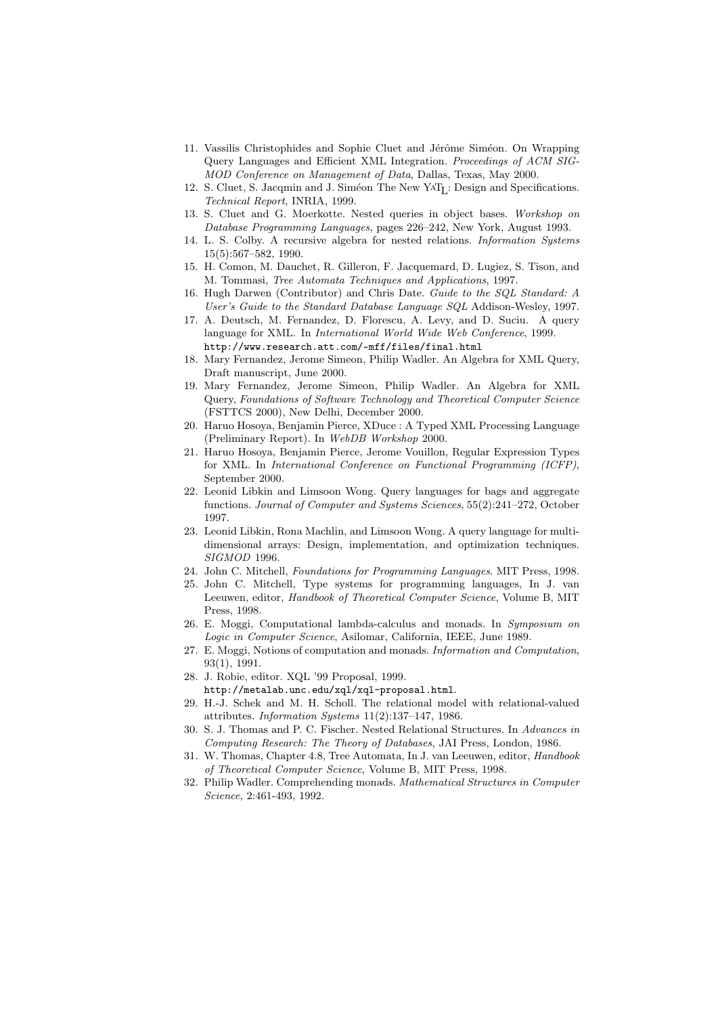- 11. Vassilis Christophides and Sophie Cluet and Jérôme Siméon. On Wrapping Query Languages and Efficient XML Integration. Proceedings of ACM SIG-MOD Conference on Management of Data, Dallas, Texas, May 2000.
- 12. S. Cluet, S. Jacqmin and J. Siméon The New YAT<sub>L</sub>: Design and Specifications. Technical Report, INRIA, 1999.
- 13. S. Cluet and G. Moerkotte. Nested queries in object bases. Workshop on Database Programming Languages, pages 226–242, New York, August 1993.
- 14. L. S. Colby. A recursive algebra for nested relations. Information Systems 15(5):567–582, 1990.
- 15. H. Comon, M. Dauchet, R. Gilleron, F. Jacquemard, D. Lugiez, S. Tison, and M. Tommasi, Tree Automata Techniques and Applications, 1997.
- 16. Hugh Darwen (Contributor) and Chris Date. Guide to the SQL Standard: A User's Guide to the Standard Database Language SQL Addison-Wesley, 1997.
- 17. A. Deutsch, M. Fernandez, D. Florescu, A. Levy, and D. Suciu. A query language for XML. In International World Wide Web Conference, 1999. http://www.research.att.com/~ mff/files/final.html
- 18. Mary Fernandez, Jerome Simeon, Philip Wadler. An Algebra for XML Query, Draft manuscript, June 2000.
- 19. Mary Fernandez, Jerome Simeon, Philip Wadler. An Algebra for XML Query, Foundations of Software Technology and Theoretical Computer Science (FSTTCS 2000), New Delhi, December 2000.
- 20. Haruo Hosoya, Benjamin Pierce, XDuce : A Typed XML Processing Language (Preliminary Report). In WebDB Workshop 2000.
- 21. Haruo Hosoya, Benjamin Pierce, Jerome Vouillon, Regular Expression Types for XML. In International Conference on Functional Programming (ICFP), September 2000.
- 22. Leonid Libkin and Limsoon Wong. Query languages for bags and aggregate functions. Journal of Computer and Systems Sciences, 55(2):241–272, October 1997.
- 23. Leonid Libkin, Rona Machlin, and Limsoon Wong. A query language for multidimensional arrays: Design, implementation, and optimization techniques. SIGMOD 1996.
- 24. John C. Mitchell, Foundations for Programming Languages. MIT Press, 1998.
- 25. John C. Mitchell, Type systems for programming languages, In J. van Leeuwen, editor, Handbook of Theoretical Computer Science, Volume B, MIT Press, 1998.
- 26. E. Moggi, Computational lambda-calculus and monads. In Symposium on Logic in Computer Science, Asilomar, California, IEEE, June 1989.
- 27. E. Moggi, Notions of computation and monads. Information and Computation, 93(1), 1991.
- 28. J. Robie, editor. XQL '99 Proposal, 1999.
	- http://metalab.unc.edu/xql/xql-proposal.html.
- 29. H.-J. Schek and M. H. Scholl. The relational model with relational-valued attributes. Information Systems 11(2):137–147, 1986.
- 30. S. J. Thomas and P. C. Fischer. Nested Relational Structures. In Advances in Computing Research: The Theory of Databases, JAI Press, London, 1986.
- 31. W. Thomas, Chapter 4.8, Tree Automata, In J. van Leeuwen, editor, Handbook of Theoretical Computer Science, Volume B, MIT Press, 1998.
- 32. Philip Wadler. Comprehending monads. Mathematical Structures in Computer Science, 2:461-493, 1992.